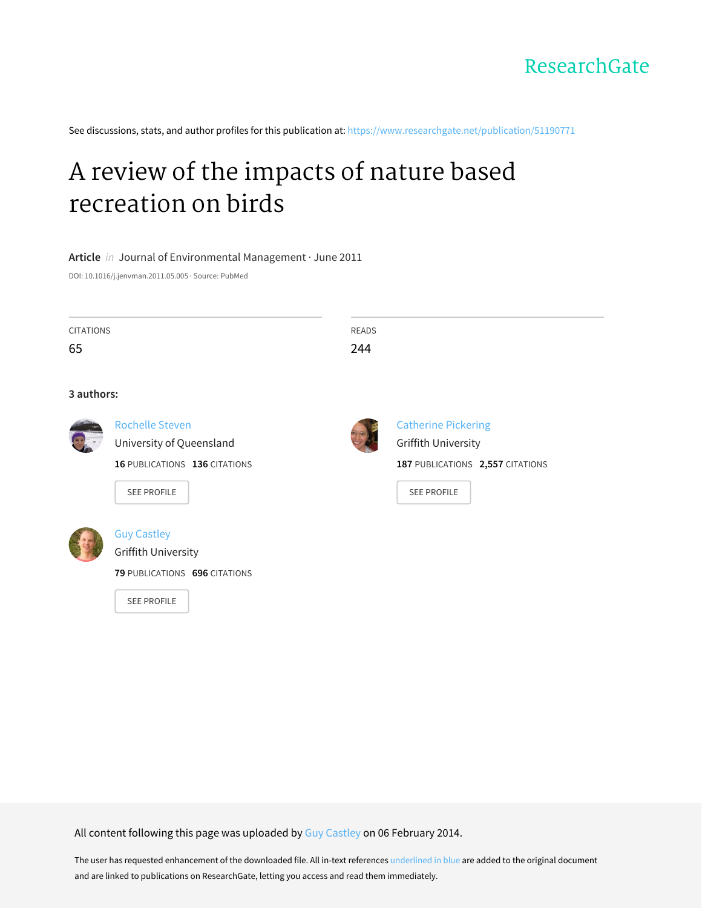

See discussions, stats, and author profiles for this publication at: [https://www.researchgate.net/publication/51190771](https://www.researchgate.net/publication/51190771_A_review_of_the_impacts_of_nature_based_recreation_on_birds?enrichId=rgreq-0307f78f61e3183d478f1b9b25fcac13-XXX&enrichSource=Y292ZXJQYWdlOzUxMTkwNzcxO0FTOjk3NzQxNDcyNTM0NTMzQDE0MDAzMTQ3OTEyMzY%3D&el=1_x_2&_esc=publicationCoverPdf)

# A review of the impacts of nature based [recreation](https://www.researchgate.net/publication/51190771_A_review_of_the_impacts_of_nature_based_recreation_on_birds?enrichId=rgreq-0307f78f61e3183d478f1b9b25fcac13-XXX&enrichSource=Y292ZXJQYWdlOzUxMTkwNzcxO0FTOjk3NzQxNDcyNTM0NTMzQDE0MDAzMTQ3OTEyMzY%3D&el=1_x_3&_esc=publicationCoverPdf) on birds

**Article** in Journal of Environmental Management · June 2011

DOI: 10.1016/j.jenvman.2011.05.005 · Source: PubMed

| CITATIONS | READS |
|-----------|-------|
| 65        | 244   |
|           |       |

#### **3 authors:**



University of [Queensland](https://www.researchgate.net/institution/University_of_Queensland?enrichId=rgreq-0307f78f61e3183d478f1b9b25fcac13-XXX&enrichSource=Y292ZXJQYWdlOzUxMTkwNzcxO0FTOjk3NzQxNDcyNTM0NTMzQDE0MDAzMTQ3OTEyMzY%3D&el=1_x_6&_esc=publicationCoverPdf)

**16** PUBLICATIONS **136** CITATIONS

SEE [PROFILE](https://www.researchgate.net/profile/Rochelle_Steven?enrichId=rgreq-0307f78f61e3183d478f1b9b25fcac13-XXX&enrichSource=Y292ZXJQYWdlOzUxMTkwNzcxO0FTOjk3NzQxNDcyNTM0NTMzQDE0MDAzMTQ3OTEyMzY%3D&el=1_x_7&_esc=publicationCoverPdf)

[Rochelle](https://www.researchgate.net/profile/Rochelle_Steven?enrichId=rgreq-0307f78f61e3183d478f1b9b25fcac13-XXX&enrichSource=Y292ZXJQYWdlOzUxMTkwNzcxO0FTOjk3NzQxNDcyNTM0NTMzQDE0MDAzMTQ3OTEyMzY%3D&el=1_x_5&_esc=publicationCoverPdf) Steven



#### Guy [Castley](https://www.researchgate.net/profile/Guy_Castley?enrichId=rgreq-0307f78f61e3183d478f1b9b25fcac13-XXX&enrichSource=Y292ZXJQYWdlOzUxMTkwNzcxO0FTOjk3NzQxNDcyNTM0NTMzQDE0MDAzMTQ3OTEyMzY%3D&el=1_x_5&_esc=publicationCoverPdf)

Griffith [University](https://www.researchgate.net/institution/Griffith_University?enrichId=rgreq-0307f78f61e3183d478f1b9b25fcac13-XXX&enrichSource=Y292ZXJQYWdlOzUxMTkwNzcxO0FTOjk3NzQxNDcyNTM0NTMzQDE0MDAzMTQ3OTEyMzY%3D&el=1_x_6&_esc=publicationCoverPdf)

**79** PUBLICATIONS **696** CITATIONS

SEE [PROFILE](https://www.researchgate.net/profile/Guy_Castley?enrichId=rgreq-0307f78f61e3183d478f1b9b25fcac13-XXX&enrichSource=Y292ZXJQYWdlOzUxMTkwNzcxO0FTOjk3NzQxNDcyNTM0NTMzQDE0MDAzMTQ3OTEyMzY%3D&el=1_x_7&_esc=publicationCoverPdf)



[Catherine](https://www.researchgate.net/profile/Catherine_Pickering?enrichId=rgreq-0307f78f61e3183d478f1b9b25fcac13-XXX&enrichSource=Y292ZXJQYWdlOzUxMTkwNzcxO0FTOjk3NzQxNDcyNTM0NTMzQDE0MDAzMTQ3OTEyMzY%3D&el=1_x_5&_esc=publicationCoverPdf) Pickering Griffith [University](https://www.researchgate.net/institution/Griffith_University?enrichId=rgreq-0307f78f61e3183d478f1b9b25fcac13-XXX&enrichSource=Y292ZXJQYWdlOzUxMTkwNzcxO0FTOjk3NzQxNDcyNTM0NTMzQDE0MDAzMTQ3OTEyMzY%3D&el=1_x_6&_esc=publicationCoverPdf) **187** PUBLICATIONS **2,557** CITATIONS

SEE [PROFILE](https://www.researchgate.net/profile/Catherine_Pickering?enrichId=rgreq-0307f78f61e3183d478f1b9b25fcac13-XXX&enrichSource=Y292ZXJQYWdlOzUxMTkwNzcxO0FTOjk3NzQxNDcyNTM0NTMzQDE0MDAzMTQ3OTEyMzY%3D&el=1_x_7&_esc=publicationCoverPdf)

All content following this page was uploaded by Guy [Castley](https://www.researchgate.net/profile/Guy_Castley?enrichId=rgreq-0307f78f61e3183d478f1b9b25fcac13-XXX&enrichSource=Y292ZXJQYWdlOzUxMTkwNzcxO0FTOjk3NzQxNDcyNTM0NTMzQDE0MDAzMTQ3OTEyMzY%3D&el=1_x_10&_esc=publicationCoverPdf) on 06 February 2014.

The user has requested enhancement of the downloaded file. All in-text references underlined in blue are added to the original document and are linked to publications on ResearchGate, letting you access and read them immediately.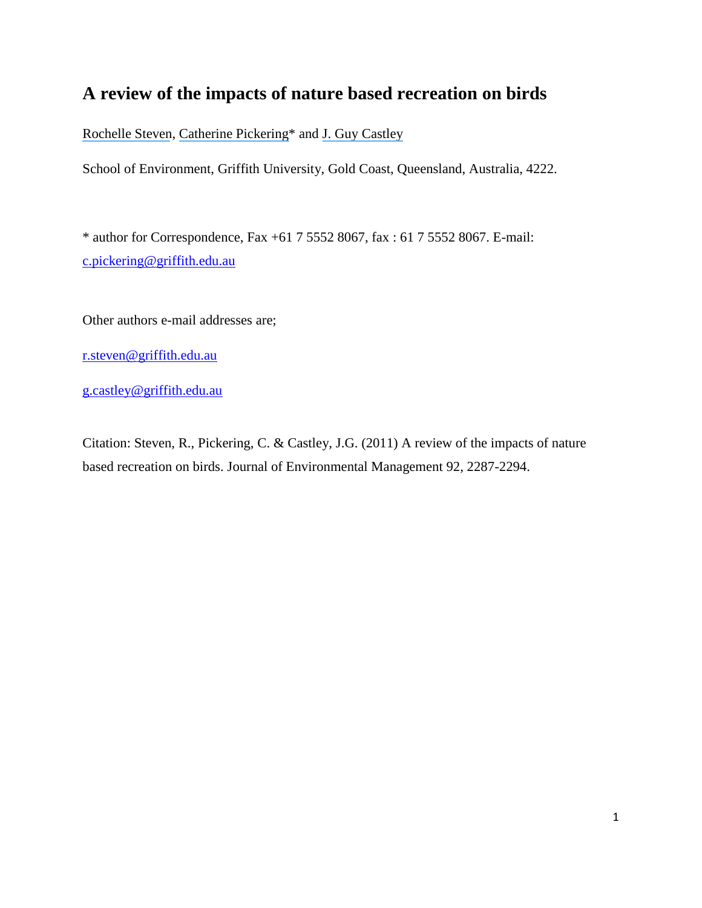## **A review of the impacts of nature based recreation on birds**

[Rochelle Steven](https://www.researchgate.net/profile/Rochelle_Steven?el=1_x_100&enrichId=rgreq-0307f78f61e3183d478f1b9b25fcac13-XXX&enrichSource=Y292ZXJQYWdlOzUxMTkwNzcxO0FTOjk3NzQxNDcyNTM0NTMzQDE0MDAzMTQ3OTEyMzY=), [Catherine Pickering\\*](https://www.researchgate.net/profile/Catherine_Pickering?el=1_x_100&enrichId=rgreq-0307f78f61e3183d478f1b9b25fcac13-XXX&enrichSource=Y292ZXJQYWdlOzUxMTkwNzcxO0FTOjk3NzQxNDcyNTM0NTMzQDE0MDAzMTQ3OTEyMzY=) and [J. Guy Castley](https://www.researchgate.net/profile/Guy_Castley?el=1_x_100&enrichId=rgreq-0307f78f61e3183d478f1b9b25fcac13-XXX&enrichSource=Y292ZXJQYWdlOzUxMTkwNzcxO0FTOjk3NzQxNDcyNTM0NTMzQDE0MDAzMTQ3OTEyMzY=)

School of Environment, Griffith University, Gold Coast, Queensland, Australia, 4222.

\* author for Correspondence, Fax +61 7 5552 8067, fax : 61 7 5552 8067. E-mail: [c.pickering@griffith.edu.au](file:///C:/cps%20documents/cps%20work%20other%20than%20images/kos%20research%20current/project%20students%20sem%202%202010/Rochelle/As%20submitted/cps%20documents/cps%20work%20other%20than%20images/kos%20research%20current/project%20students%20sem%202%202010/Rochelle/Local%20Settings/Local%20Settings/c.pickering@griffith.edu.au)

Other authors e-mail addresses are;

[r.steven@griffith.edu.au](mailto:r.steven@griffith.edu.au)

[g.castley@griffith.edu.au](mailto:g.castley@griffith.edu.au)

Citation: Steven, R., Pickering, C. & Castley, J.G. (2011) A review of the impacts of nature based recreation on birds. Journal of Environmental Management 92, 2287-2294.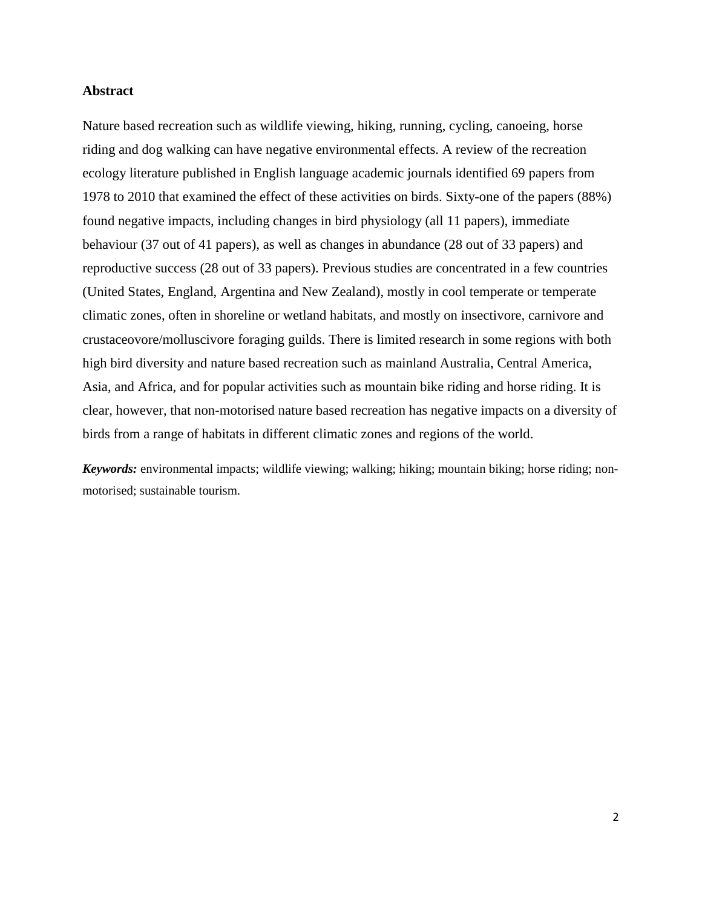#### **Abstract**

Nature based recreation such as wildlife viewing, hiking, running, cycling, canoeing, horse riding and dog walking can have negative environmental effects. A review of the recreation ecology literature published in English language academic journals identified 69 papers from 1978 to 2010 that examined the effect of these activities on birds. Sixty-one of the papers (88%) found negative impacts, including changes in bird physiology (all 11 papers), immediate behaviour (37 out of 41 papers), as well as changes in abundance (28 out of 33 papers) and reproductive success (28 out of 33 papers). Previous studies are concentrated in a few countries (United States, England, Argentina and New Zealand), mostly in cool temperate or temperate climatic zones, often in shoreline or wetland habitats, and mostly on insectivore, carnivore and crustaceovore/molluscivore foraging guilds. There is limited research in some regions with both high bird diversity and nature based recreation such as mainland Australia, Central America, Asia, and Africa, and for popular activities such as mountain bike riding and horse riding. It is clear, however, that non-motorised nature based recreation has negative impacts on a diversity of birds from a range of habitats in different climatic zones and regions of the world.

*Keywords:* environmental impacts; wildlife viewing; walking; hiking; mountain biking; horse riding; nonmotorised; sustainable tourism.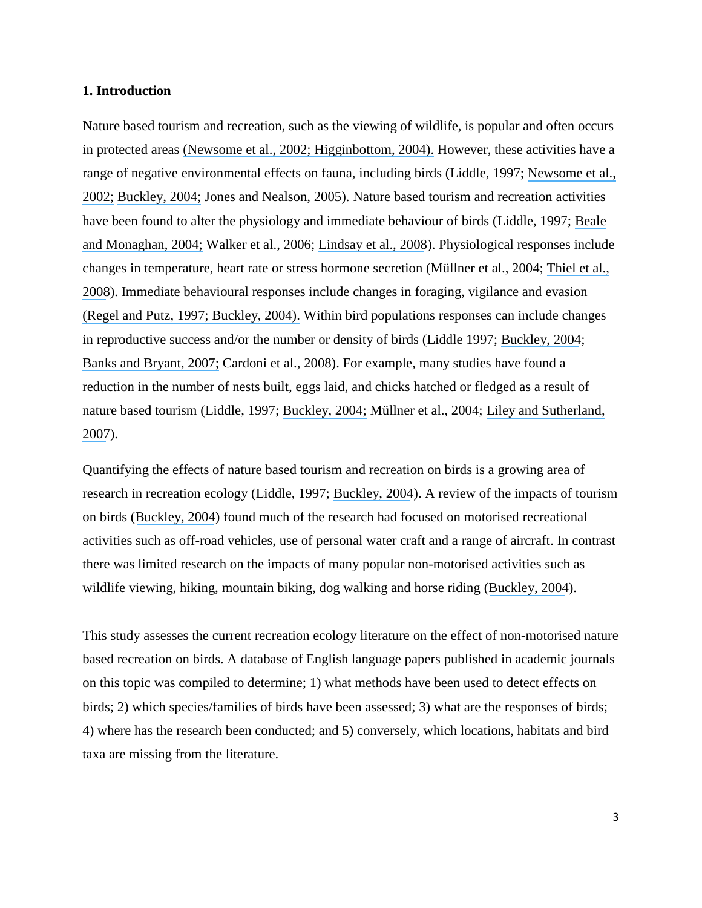#### **1. Introduction**

Nature based tourism and recreation, such as the viewing of wildlife, is popular and often occurs in protected areas ([Newsome et al.,](https://www.researchgate.net/publication/44845216_Natural_area_tourism_Ecology_impacts_and_management?el=1_x_8&enrichId=rgreq-0307f78f61e3183d478f1b9b25fcac13-XXX&enrichSource=Y292ZXJQYWdlOzUxMTkwNzcxO0FTOjk3NzQxNDcyNTM0NTMzQDE0MDAzMTQ3OTEyMzY=) [2002; Higginbottom, 2004\).](https://www.researchgate.net/publication/49278671_Natural_area_tourism_Ecology_impacts_and_management_second_edition?el=1_x_8&enrichId=rgreq-0307f78f61e3183d478f1b9b25fcac13-XXX&enrichSource=Y292ZXJQYWdlOzUxMTkwNzcxO0FTOjk3NzQxNDcyNTM0NTMzQDE0MDAzMTQ3OTEyMzY=) However, these activities have a range of negative environmental effects on fauna, including birds (Liddle, 1997; [Newsome et al.,](https://www.researchgate.net/publication/44845216_Natural_area_tourism_Ecology_impacts_and_management?el=1_x_8&enrichId=rgreq-0307f78f61e3183d478f1b9b25fcac13-XXX&enrichSource=Y292ZXJQYWdlOzUxMTkwNzcxO0FTOjk3NzQxNDcyNTM0NTMzQDE0MDAzMTQ3OTEyMzY=) [2002;](https://www.researchgate.net/publication/44845216_Natural_area_tourism_Ecology_impacts_and_management?el=1_x_8&enrichId=rgreq-0307f78f61e3183d478f1b9b25fcac13-XXX&enrichSource=Y292ZXJQYWdlOzUxMTkwNzcxO0FTOjk3NzQxNDcyNTM0NTMzQDE0MDAzMTQ3OTEyMzY=) [Buckley, 2004;](https://www.researchgate.net/publication/29451785_Impacts_of_ecotourism_on_birds?el=1_x_8&enrichId=rgreq-0307f78f61e3183d478f1b9b25fcac13-XXX&enrichSource=Y292ZXJQYWdlOzUxMTkwNzcxO0FTOjk3NzQxNDcyNTM0NTMzQDE0MDAzMTQ3OTEyMzY=) Jones and Nealson, 2005). Nature based tourism and recreation activities have been found to alter the physiology and immediate behaviour of birds (Liddle, 1997; [Beale](https://www.researchgate.net/publication/227984304_Human_disturbance_People_as_predation-free_predators?el=1_x_8&enrichId=rgreq-0307f78f61e3183d478f1b9b25fcac13-XXX&enrichSource=Y292ZXJQYWdlOzUxMTkwNzcxO0FTOjk3NzQxNDcyNTM0NTMzQDE0MDAzMTQ3OTEyMzY=)  [and Monaghan,](https://www.researchgate.net/publication/227984304_Human_disturbance_People_as_predation-free_predators?el=1_x_8&enrichId=rgreq-0307f78f61e3183d478f1b9b25fcac13-XXX&enrichSource=Y292ZXJQYWdlOzUxMTkwNzcxO0FTOjk3NzQxNDcyNTM0NTMzQDE0MDAzMTQ3OTEyMzY=) 2004; Walker et al., 2006; [Lindsay et al., 2008](https://www.researchgate.net/publication/223785274_Tourism_and_conservation_The_effects_of_track_proximity_on_avian_reproductive_success_and_nest_selection_in_an_open_sanctuary?el=1_x_8&enrichId=rgreq-0307f78f61e3183d478f1b9b25fcac13-XXX&enrichSource=Y292ZXJQYWdlOzUxMTkwNzcxO0FTOjk3NzQxNDcyNTM0NTMzQDE0MDAzMTQ3OTEyMzY=)). Physiological responses include changes in temperature, heart rate or stress hormone secretion (Müllner et al., 2004; [Thiel et al.,](https://www.researchgate.net/publication/227993692_Ski_tourism_affects_habitat_use_and_evokes_a_physiological_stress_response_in_capercaillie_Tetrao_urogallus_A_new_methodological_approach?el=1_x_8&enrichId=rgreq-0307f78f61e3183d478f1b9b25fcac13-XXX&enrichSource=Y292ZXJQYWdlOzUxMTkwNzcxO0FTOjk3NzQxNDcyNTM0NTMzQDE0MDAzMTQ3OTEyMzY=)  [2008](https://www.researchgate.net/publication/227993692_Ski_tourism_affects_habitat_use_and_evokes_a_physiological_stress_response_in_capercaillie_Tetrao_urogallus_A_new_methodological_approach?el=1_x_8&enrichId=rgreq-0307f78f61e3183d478f1b9b25fcac13-XXX&enrichSource=Y292ZXJQYWdlOzUxMTkwNzcxO0FTOjk3NzQxNDcyNTM0NTMzQDE0MDAzMTQ3OTEyMzY=)). Immediate behavioural responses include changes in foraging, vigilance and evasion [\(Regel and Putz, 1997;](https://www.researchgate.net/publication/225898698_Effect_of_human_disturbance_on_body_temperature_and_energy_expenditure_in_penguins?el=1_x_8&enrichId=rgreq-0307f78f61e3183d478f1b9b25fcac13-XXX&enrichSource=Y292ZXJQYWdlOzUxMTkwNzcxO0FTOjk3NzQxNDcyNTM0NTMzQDE0MDAzMTQ3OTEyMzY=) [Buckley, 200](https://www.researchgate.net/publication/29451785_Impacts_of_ecotourism_on_birds?el=1_x_8&enrichId=rgreq-0307f78f61e3183d478f1b9b25fcac13-XXX&enrichSource=Y292ZXJQYWdlOzUxMTkwNzcxO0FTOjk3NzQxNDcyNTM0NTMzQDE0MDAzMTQ3OTEyMzY=)[4\).](https://www.researchgate.net/publication/225898698_Effect_of_human_disturbance_on_body_temperature_and_energy_expenditure_in_penguins?el=1_x_8&enrichId=rgreq-0307f78f61e3183d478f1b9b25fcac13-XXX&enrichSource=Y292ZXJQYWdlOzUxMTkwNzcxO0FTOjk3NzQxNDcyNTM0NTMzQDE0MDAzMTQ3OTEyMzY=) Within bird populations responses can include changes in reproductive success and/or the number or density of birds (Liddle 1997; [Buckley, 2004](https://www.researchgate.net/publication/29451785_Impacts_of_ecotourism_on_birds?el=1_x_8&enrichId=rgreq-0307f78f61e3183d478f1b9b25fcac13-XXX&enrichSource=Y292ZXJQYWdlOzUxMTkwNzcxO0FTOjk3NzQxNDcyNTM0NTMzQDE0MDAzMTQ3OTEyMzY=); [Banks and Bryant, 2007;](https://www.researchgate.net/publication/6055768_Four-legged_friend_or_foe_Dog_walking_displaces_native_birds_from_natural_areas?el=1_x_8&enrichId=rgreq-0307f78f61e3183d478f1b9b25fcac13-XXX&enrichSource=Y292ZXJQYWdlOzUxMTkwNzcxO0FTOjk3NzQxNDcyNTM0NTMzQDE0MDAzMTQ3OTEyMzY=) Cardoni et al., 2008). For example, many studies have found a reduction in the number of nests built, eggs laid, and chicks hatched or fledged as a result of nature based tourism (Liddle, 1997; [Buckley, 2004;](https://www.researchgate.net/publication/29451785_Impacts_of_ecotourism_on_birds?el=1_x_8&enrichId=rgreq-0307f78f61e3183d478f1b9b25fcac13-XXX&enrichSource=Y292ZXJQYWdlOzUxMTkwNzcxO0FTOjk3NzQxNDcyNTM0NTMzQDE0MDAzMTQ3OTEyMzY=) Müllner et al., 2004; Liley [and Sutherland,](https://www.researchgate.net/publication/227541598_Predicting_the_population_consequences_of_human_disturbance_for_Ringed_Plovers_Charadrius_hiaticula_A_game_theory_approach?el=1_x_8&enrichId=rgreq-0307f78f61e3183d478f1b9b25fcac13-XXX&enrichSource=Y292ZXJQYWdlOzUxMTkwNzcxO0FTOjk3NzQxNDcyNTM0NTMzQDE0MDAzMTQ3OTEyMzY=) [2007](https://www.researchgate.net/publication/227541598_Predicting_the_population_consequences_of_human_disturbance_for_Ringed_Plovers_Charadrius_hiaticula_A_game_theory_approach?el=1_x_8&enrichId=rgreq-0307f78f61e3183d478f1b9b25fcac13-XXX&enrichSource=Y292ZXJQYWdlOzUxMTkwNzcxO0FTOjk3NzQxNDcyNTM0NTMzQDE0MDAzMTQ3OTEyMzY=)).

Quantifying the effects of nature based tourism and recreation on birds is a growing area of research in recreation ecology (Liddle, 1997; [Buckley, 2004](https://www.researchgate.net/publication/29451785_Impacts_of_ecotourism_on_birds?el=1_x_8&enrichId=rgreq-0307f78f61e3183d478f1b9b25fcac13-XXX&enrichSource=Y292ZXJQYWdlOzUxMTkwNzcxO0FTOjk3NzQxNDcyNTM0NTMzQDE0MDAzMTQ3OTEyMzY=)). A review of the impacts of tourism on birds ([Buckley, 2004](https://www.researchgate.net/publication/29451785_Impacts_of_ecotourism_on_birds?el=1_x_8&enrichId=rgreq-0307f78f61e3183d478f1b9b25fcac13-XXX&enrichSource=Y292ZXJQYWdlOzUxMTkwNzcxO0FTOjk3NzQxNDcyNTM0NTMzQDE0MDAzMTQ3OTEyMzY=)) found much of the research had focused on motorised recreational activities such as off-road vehicles, use of personal water craft and a range of aircraft. In contrast there was limited research on the impacts of many popular non-motorised activities such as wildlife viewing, hiking, mountain biking, dog walking and horse riding ([Buckley, 2004](https://www.researchgate.net/publication/29451785_Impacts_of_ecotourism_on_birds?el=1_x_8&enrichId=rgreq-0307f78f61e3183d478f1b9b25fcac13-XXX&enrichSource=Y292ZXJQYWdlOzUxMTkwNzcxO0FTOjk3NzQxNDcyNTM0NTMzQDE0MDAzMTQ3OTEyMzY=)).

This study assesses the current recreation ecology literature on the effect of non-motorised nature based recreation on birds. A database of English language papers published in academic journals on this topic was compiled to determine; 1) what methods have been used to detect effects on birds; 2) which species/families of birds have been assessed; 3) what are the responses of birds; 4) where has the research been conducted; and 5) conversely, which locations, habitats and bird taxa are missing from the literature.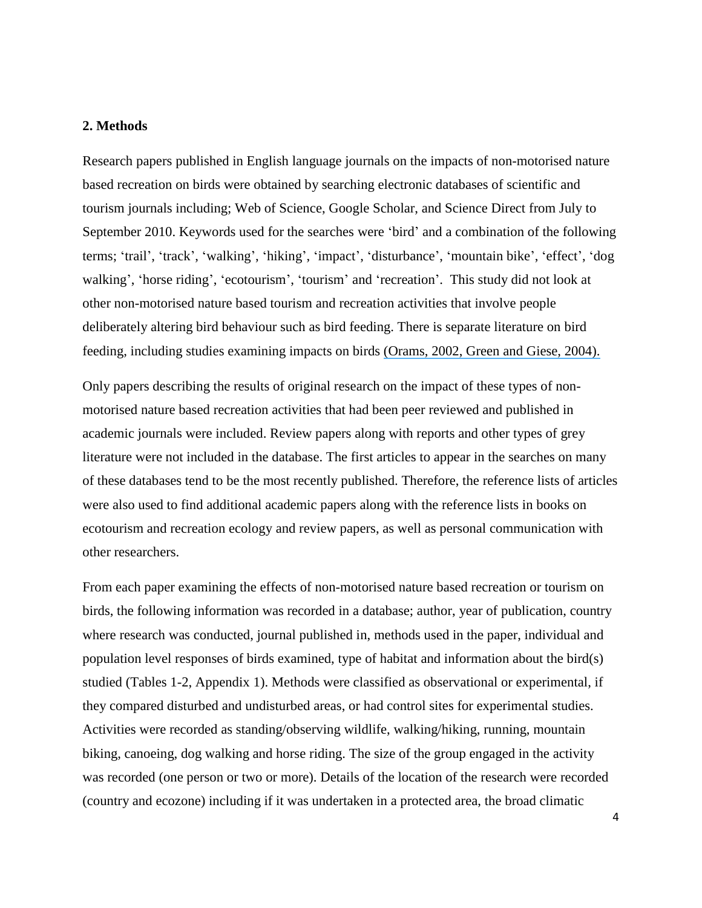#### **2. Methods**

Research papers published in English language journals on the impacts of non-motorised nature based recreation on birds were obtained by searching electronic databases of scientific and tourism journals including; Web of Science, Google Scholar, and Science Direct from July to September 2010. Keywords used for the searches were 'bird' and a combination of the following terms; 'trail', 'track', 'walking', 'hiking', 'impact', 'disturbance', 'mountain bike', 'effect', 'dog walking', 'horse riding', 'ecotourism', 'tourism' and 'recreation'. This study did not look at other non-motorised nature based tourism and recreation activities that involve people deliberately altering bird behaviour such as bird feeding. There is separate literature on bird feeding, including studies examining impacts on birds (Orams, [2002, Green and Giese, 2004\).](https://www.researchgate.net/publication/223378778_Feeding_wildlife_as_a_tourism_attraction_A_review_of_issues_and_impacts?el=1_x_8&enrichId=rgreq-0307f78f61e3183d478f1b9b25fcac13-XXX&enrichSource=Y292ZXJQYWdlOzUxMTkwNzcxO0FTOjk3NzQxNDcyNTM0NTMzQDE0MDAzMTQ3OTEyMzY=)

Only papers describing the results of original research on the impact of these types of nonmotorised nature based recreation activities that had been peer reviewed and published in academic journals were included. Review papers along with reports and other types of grey literature were not included in the database. The first articles to appear in the searches on many of these databases tend to be the most recently published. Therefore, the reference lists of articles were also used to find additional academic papers along with the reference lists in books on ecotourism and recreation ecology and review papers, as well as personal communication with other researchers.

From each paper examining the effects of non-motorised nature based recreation or tourism on birds, the following information was recorded in a database; author, year of publication, country where research was conducted, journal published in, methods used in the paper, individual and population level responses of birds examined, type of habitat and information about the bird(s) studied (Tables 1-2, Appendix 1). Methods were classified as observational or experimental, if they compared disturbed and undisturbed areas, or had control sites for experimental studies. Activities were recorded as standing/observing wildlife, walking/hiking, running, mountain biking, canoeing, dog walking and horse riding. The size of the group engaged in the activity was recorded (one person or two or more). Details of the location of the research were recorded (country and ecozone) including if it was undertaken in a protected area, the broad climatic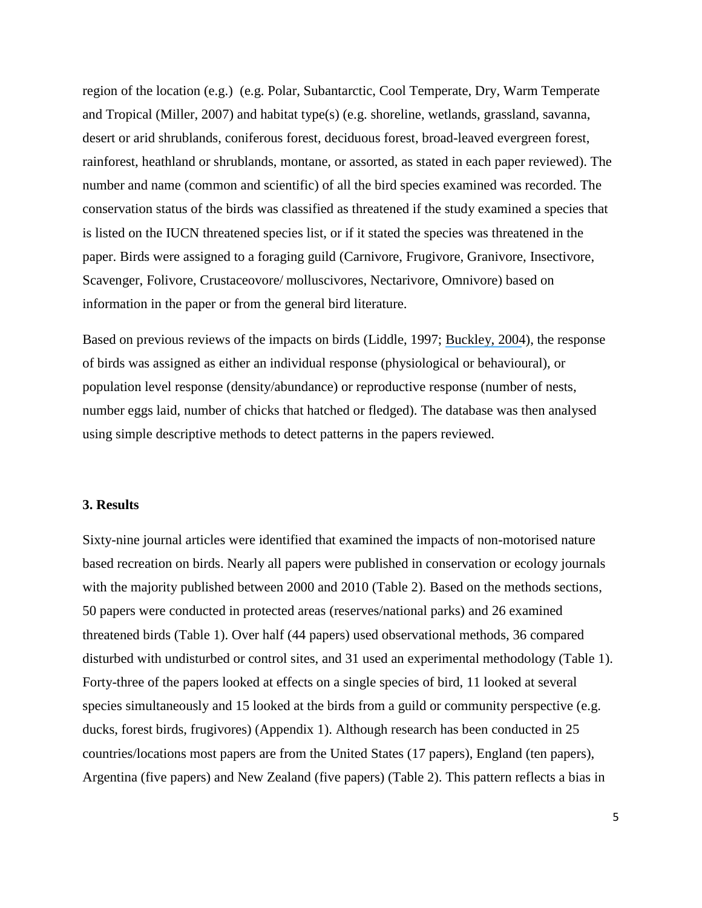region of the location (e.g.) (e.g. Polar, Subantarctic, Cool Temperate, Dry, Warm Temperate and Tropical (Miller, 2007) and habitat type(s) (e.g. shoreline, wetlands, grassland, savanna, desert or arid shrublands, coniferous forest, deciduous forest, broad-leaved evergreen forest, rainforest, heathland or shrublands, montane, or assorted, as stated in each paper reviewed). The number and name (common and scientific) of all the bird species examined was recorded. The conservation status of the birds was classified as threatened if the study examined a species that is listed on the IUCN threatened species list, or if it stated the species was threatened in the paper. Birds were assigned to a foraging guild (Carnivore, Frugivore, Granivore, Insectivore, Scavenger, Folivore, Crustaceovore/ molluscivores, Nectarivore, Omnivore) based on information in the paper or from the general bird literature.

Based on previous reviews of the impacts on birds (Liddle, 1997; [Buckley, 2004](https://www.researchgate.net/publication/29451785_Impacts_of_ecotourism_on_birds?el=1_x_8&enrichId=rgreq-0307f78f61e3183d478f1b9b25fcac13-XXX&enrichSource=Y292ZXJQYWdlOzUxMTkwNzcxO0FTOjk3NzQxNDcyNTM0NTMzQDE0MDAzMTQ3OTEyMzY=)), the response of birds was assigned as either an individual response (physiological or behavioural), or population level response (density/abundance) or reproductive response (number of nests, number eggs laid, number of chicks that hatched or fledged). The database was then analysed using simple descriptive methods to detect patterns in the papers reviewed.

#### **3. Results**

Sixty-nine journal articles were identified that examined the impacts of non-motorised nature based recreation on birds. Nearly all papers were published in conservation or ecology journals with the majority published between 2000 and 2010 (Table 2). Based on the methods sections, 50 papers were conducted in protected areas (reserves/national parks) and 26 examined threatened birds (Table 1). Over half (44 papers) used observational methods, 36 compared disturbed with undisturbed or control sites, and 31 used an experimental methodology (Table 1). Forty-three of the papers looked at effects on a single species of bird, 11 looked at several species simultaneously and 15 looked at the birds from a guild or community perspective (e.g. ducks, forest birds, frugivores) (Appendix 1). Although research has been conducted in 25 countries/locations most papers are from the United States (17 papers), England (ten papers), Argentina (five papers) and New Zealand (five papers) (Table 2). This pattern reflects a bias in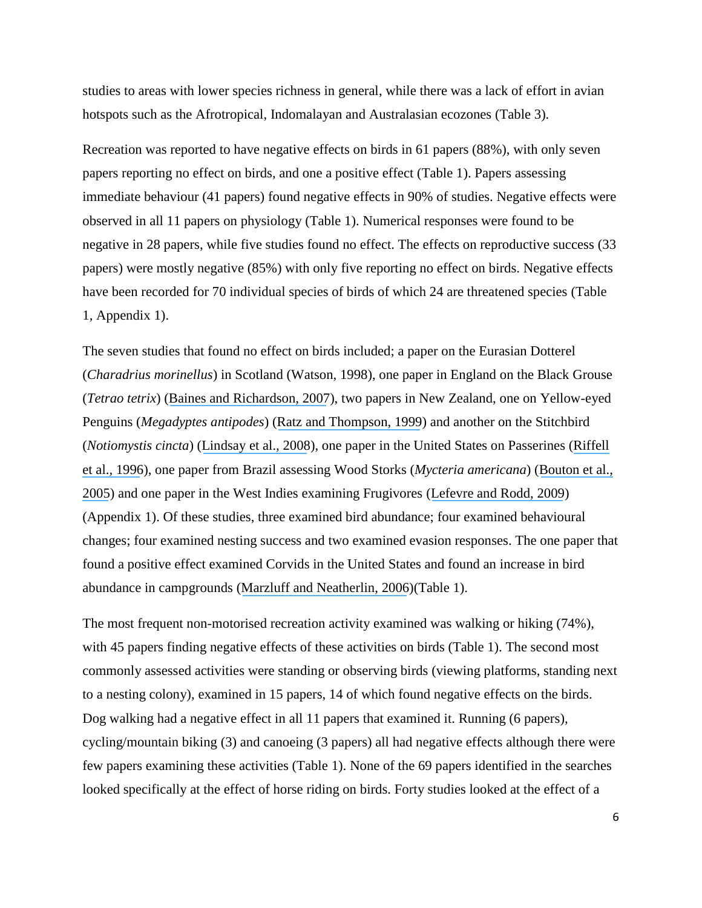studies to areas with lower species richness in general, while there was a lack of effort in avian hotspots such as the Afrotropical, Indomalayan and Australasian ecozones (Table 3).

Recreation was reported to have negative effects on birds in 61 papers (88%), with only seven papers reporting no effect on birds, and one a positive effect (Table 1). Papers assessing immediate behaviour (41 papers) found negative effects in 90% of studies. Negative effects were observed in all 11 papers on physiology (Table 1). Numerical responses were found to be negative in 28 papers, while five studies found no effect. The effects on reproductive success (33 papers) were mostly negative (85%) with only five reporting no effect on birds. Negative effects have been recorded for 70 individual species of birds of which 24 are threatened species (Table 1, Appendix 1).

The seven studies that found no effect on birds included; a paper on the Eurasian Dotterel (*Charadrius morinellus*) in Scotland (Watson, 1998), one paper in England on the Black Grouse (*Tetrao tetrix*) ([Baines and Richardson, 2007](https://www.researchgate.net/publication/227673809_An_experimental_assessment_of_the_potential_effects_of_human_disturbance_on_Black_Grouse_Tetrao_tetrix_in_the_North_Pennines_England?el=1_x_8&enrichId=rgreq-0307f78f61e3183d478f1b9b25fcac13-XXX&enrichSource=Y292ZXJQYWdlOzUxMTkwNzcxO0FTOjk3NzQxNDcyNTM0NTMzQDE0MDAzMTQ3OTEyMzY=)), two papers in New Zealand, one on Yellow-eyed Penguins (*Megadyptes antipodes*) ([Ratz and Thompson, 1999](https://www.researchgate.net/publication/231178458_Who_is_watching_whom_Checks_for_impacts_of_tourists_on_Yellow-eyed_Penguins_Megadyptes_antipodes?el=1_x_8&enrichId=rgreq-0307f78f61e3183d478f1b9b25fcac13-XXX&enrichSource=Y292ZXJQYWdlOzUxMTkwNzcxO0FTOjk3NzQxNDcyNTM0NTMzQDE0MDAzMTQ3OTEyMzY=)) and another on the Stitchbird (*Notiomystis cincta*) ([Lindsay et al.](https://www.researchgate.net/publication/223785274_Tourism_and_conservation_The_effects_of_track_proximity_on_avian_reproductive_success_and_nest_selection_in_an_open_sanctuary?el=1_x_8&enrichId=rgreq-0307f78f61e3183d478f1b9b25fcac13-XXX&enrichSource=Y292ZXJQYWdlOzUxMTkwNzcxO0FTOjk3NzQxNDcyNTM0NTMzQDE0MDAzMTQ3OTEyMzY=)*,* 2008), one paper in the United States on Passerines ([Riffell](https://www.researchgate.net/publication/271760168_Does_Repeated_Human_Intrusion_Cause_Cumulative_Declines_in_Avian_Richness_and_Abundance?el=1_x_8&enrichId=rgreq-0307f78f61e3183d478f1b9b25fcac13-XXX&enrichSource=Y292ZXJQYWdlOzUxMTkwNzcxO0FTOjk3NzQxNDcyNTM0NTMzQDE0MDAzMTQ3OTEyMzY=)  [et al.](https://www.researchgate.net/publication/271760168_Does_Repeated_Human_Intrusion_Cause_Cumulative_Declines_in_Avian_Richness_and_Abundance?el=1_x_8&enrichId=rgreq-0307f78f61e3183d478f1b9b25fcac13-XXX&enrichSource=Y292ZXJQYWdlOzUxMTkwNzcxO0FTOjk3NzQxNDcyNTM0NTMzQDE0MDAzMTQ3OTEyMzY=)*,* 1996), one paper from Brazil assessing Wood Storks (*Mycteria americana*) ([Bouton et al.,](https://www.researchgate.net/publication/232664389_Effects_of_Tourist_Disturbance_on_Wood_Stork_Nesting_Success_and_Breeding_Behavior_in_the_Brazilian_Pantanal?el=1_x_8&enrichId=rgreq-0307f78f61e3183d478f1b9b25fcac13-XXX&enrichSource=Y292ZXJQYWdlOzUxMTkwNzcxO0FTOjk3NzQxNDcyNTM0NTMzQDE0MDAzMTQ3OTEyMzY=)  [2005](https://www.researchgate.net/publication/232664389_Effects_of_Tourist_Disturbance_on_Wood_Stork_Nesting_Success_and_Breeding_Behavior_in_the_Brazilian_Pantanal?el=1_x_8&enrichId=rgreq-0307f78f61e3183d478f1b9b25fcac13-XXX&enrichSource=Y292ZXJQYWdlOzUxMTkwNzcxO0FTOjk3NzQxNDcyNTM0NTMzQDE0MDAzMTQ3OTEyMzY=)) and one paper in the West Indies examining Frugivores ([Lefevre and Rodd, 2009](https://www.researchgate.net/publication/227529996_How_human_disturbance_of_tropical_rainforest_can_influence_avian_fruit_removal?el=1_x_8&enrichId=rgreq-0307f78f61e3183d478f1b9b25fcac13-XXX&enrichSource=Y292ZXJQYWdlOzUxMTkwNzcxO0FTOjk3NzQxNDcyNTM0NTMzQDE0MDAzMTQ3OTEyMzY=)) (Appendix 1). Of these studies, three examined bird abundance; four examined behavioural changes; four examined nesting success and two examined evasion responses. The one paper that found a positive effect examined Corvids in the United States and found an increase in bird abundance in campgrounds ([Marzluff and Neatherlin,](https://www.researchgate.net/publication/222431129_Corvid_response_to_human_settlements_and_campgrounds_Causes_consequences_and_challenges_for_conservation?el=1_x_8&enrichId=rgreq-0307f78f61e3183d478f1b9b25fcac13-XXX&enrichSource=Y292ZXJQYWdlOzUxMTkwNzcxO0FTOjk3NzQxNDcyNTM0NTMzQDE0MDAzMTQ3OTEyMzY=) 2006)(Table 1).

The most frequent non-motorised recreation activity examined was walking or hiking (74%), with 45 papers finding negative effects of these activities on birds (Table 1). The second most commonly assessed activities were standing or observing birds (viewing platforms, standing next to a nesting colony), examined in 15 papers, 14 of which found negative effects on the birds. Dog walking had a negative effect in all 11 papers that examined it. Running (6 papers), cycling/mountain biking (3) and canoeing (3 papers) all had negative effects although there were few papers examining these activities (Table 1). None of the 69 papers identified in the searches looked specifically at the effect of horse riding on birds. Forty studies looked at the effect of a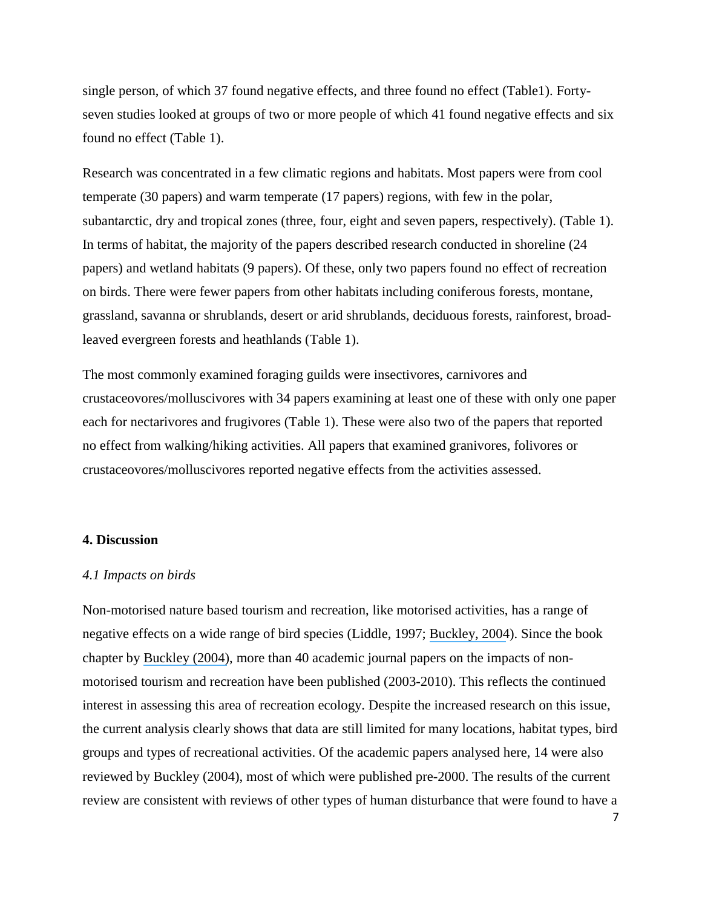single person, of which 37 found negative effects, and three found no effect (Table1). Fortyseven studies looked at groups of two or more people of which 41 found negative effects and six found no effect (Table 1).

Research was concentrated in a few climatic regions and habitats. Most papers were from cool temperate (30 papers) and warm temperate (17 papers) regions, with few in the polar, subantarctic, dry and tropical zones (three, four, eight and seven papers, respectively). (Table 1). In terms of habitat, the majority of the papers described research conducted in shoreline (24 papers) and wetland habitats (9 papers). Of these, only two papers found no effect of recreation on birds. There were fewer papers from other habitats including coniferous forests, montane, grassland, savanna or shrublands, desert or arid shrublands, deciduous forests, rainforest, broadleaved evergreen forests and heathlands (Table 1).

The most commonly examined foraging guilds were insectivores, carnivores and crustaceovores/molluscivores with 34 papers examining at least one of these with only one paper each for nectarivores and frugivores (Table 1). These were also two of the papers that reported no effect from walking/hiking activities. All papers that examined granivores, folivores or crustaceovores/molluscivores reported negative effects from the activities assessed.

#### **4. Discussion**

#### *4.1 Impacts on birds*

Non-motorised nature based tourism and recreation, like motorised activities, has a range of negative effects on a wide range of bird species (Liddle, 1997; [Buckley, 2004](https://www.researchgate.net/publication/29451785_Impacts_of_ecotourism_on_birds?el=1_x_8&enrichId=rgreq-0307f78f61e3183d478f1b9b25fcac13-XXX&enrichSource=Y292ZXJQYWdlOzUxMTkwNzcxO0FTOjk3NzQxNDcyNTM0NTMzQDE0MDAzMTQ3OTEyMzY=)). Since the book chapter by [Buckley \(2004\)](https://www.researchgate.net/publication/29451785_Impacts_of_ecotourism_on_birds?el=1_x_8&enrichId=rgreq-0307f78f61e3183d478f1b9b25fcac13-XXX&enrichSource=Y292ZXJQYWdlOzUxMTkwNzcxO0FTOjk3NzQxNDcyNTM0NTMzQDE0MDAzMTQ3OTEyMzY=), more than 40 academic journal papers on the impacts of nonmotorised tourism and recreation have been published (2003-2010). This reflects the continued interest in assessing this area of recreation ecology. Despite the increased research on this issue, the current analysis clearly shows that data are still limited for many locations, habitat types, bird groups and types of recreational activities. Of the academic papers analysed here, 14 were also reviewed by Buckley (2004), most of which were published pre-2000. The results of the current review are consistent with reviews of other types of human disturbance that were found to have a

7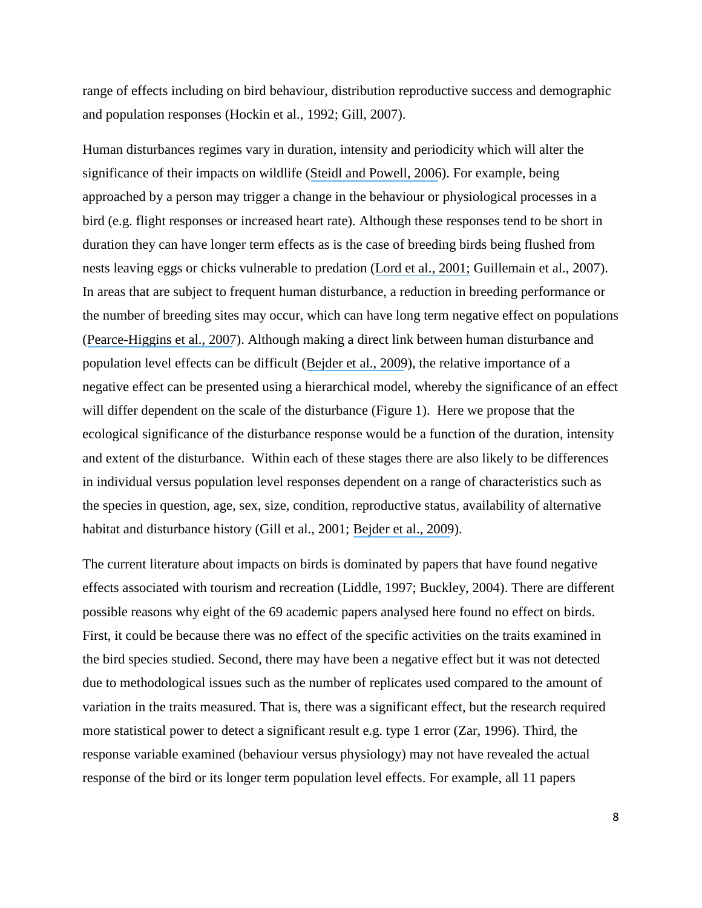range of effects including on bird behaviour, distribution reproductive success and demographic and population responses (Hockin et al., 1992; Gill, 2007).

Human disturbances regimes vary in duration, intensity and periodicity which will alter the significance of their impacts on wildlife ([Steidl and Powell,](https://www.researchgate.net/publication/285725027_Assessing_the_effects_of_human_activities_on_wildlife?el=1_x_8&enrichId=rgreq-0307f78f61e3183d478f1b9b25fcac13-XXX&enrichSource=Y292ZXJQYWdlOzUxMTkwNzcxO0FTOjk3NzQxNDcyNTM0NTMzQDE0MDAzMTQ3OTEyMzY=) 2006). For example, being approached by a person may trigger a change in the behaviour or physiological processes in a bird (e.g. flight responses or increased heart rate). Although these responses tend to be short in duration they can have longer term effects as is the case of breeding birds being flushed from nests leaving eggs or chicks vulnerable to predation ([Lord et al.,](https://www.researchgate.net/publication/222524277_Effects_of_Human_Approaches_to_Nests_of_Northern_New_Zealand_Dotterels?el=1_x_8&enrichId=rgreq-0307f78f61e3183d478f1b9b25fcac13-XXX&enrichSource=Y292ZXJQYWdlOzUxMTkwNzcxO0FTOjk3NzQxNDcyNTM0NTMzQDE0MDAzMTQ3OTEyMzY=) 2001; Guillemain et al., 2007). In areas that are subject to frequent human disturbance, a reduction in breeding performance or the number of breeding sites may occur, which can have long term negative effect on populations ([Pearce-Higgins et al.,](https://www.researchgate.net/publication/227703741_Testing_the_effects_of_recreational_disturbance_on_two_upland_breeding_waders?el=1_x_8&enrichId=rgreq-0307f78f61e3183d478f1b9b25fcac13-XXX&enrichSource=Y292ZXJQYWdlOzUxMTkwNzcxO0FTOjk3NzQxNDcyNTM0NTMzQDE0MDAzMTQ3OTEyMzY=) 2007). Although making a direct link between human disturbance and population level effects can be difficult ([Bejder et](https://www.researchgate.net/publication/43980707_Impact_assessment_research_Use_and_misuse_of_habituation_sensitisation_and_tolerance_in_describing_wildlife_responses_to_anthropogenic_stimuli?el=1_x_8&enrichId=rgreq-0307f78f61e3183d478f1b9b25fcac13-XXX&enrichSource=Y292ZXJQYWdlOzUxMTkwNzcxO0FTOjk3NzQxNDcyNTM0NTMzQDE0MDAzMTQ3OTEyMzY=) al., 2009), the relative importance of a negative effect can be presented using a hierarchical model, whereby the significance of an effect will differ dependent on the scale of the disturbance (Figure 1). Here we propose that the ecological significance of the disturbance response would be a function of the duration, intensity and extent of the disturbance. Within each of these stages there are also likely to be differences in individual versus population level responses dependent on a range of characteristics such as the species in question, age, sex, size, condition, reproductive status, availability of alternative habitat and disturbance history (Gill et al., 2001; [Bejder et al.,](https://www.researchgate.net/publication/43980707_Impact_assessment_research_Use_and_misuse_of_habituation_sensitisation_and_tolerance_in_describing_wildlife_responses_to_anthropogenic_stimuli?el=1_x_8&enrichId=rgreq-0307f78f61e3183d478f1b9b25fcac13-XXX&enrichSource=Y292ZXJQYWdlOzUxMTkwNzcxO0FTOjk3NzQxNDcyNTM0NTMzQDE0MDAzMTQ3OTEyMzY=) 2009).

The current literature about impacts on birds is dominated by papers that have found negative effects associated with tourism and recreation (Liddle, 1997; Buckley, 2004). There are different possible reasons why eight of the 69 academic papers analysed here found no effect on birds. First, it could be because there was no effect of the specific activities on the traits examined in the bird species studied. Second, there may have been a negative effect but it was not detected due to methodological issues such as the number of replicates used compared to the amount of variation in the traits measured. That is, there was a significant effect, but the research required more statistical power to detect a significant result e.g. type 1 error (Zar, 1996). Third, the response variable examined (behaviour versus physiology) may not have revealed the actual response of the bird or its longer term population level effects. For example, all 11 papers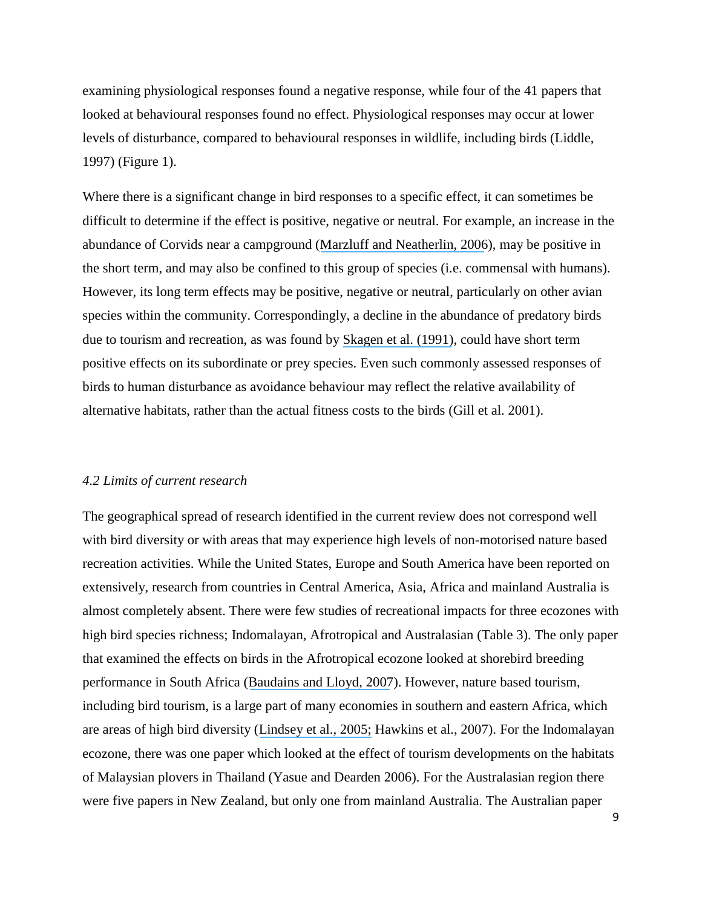examining physiological responses found a negative response, while four of the 41 papers that looked at behavioural responses found no effect. Physiological responses may occur at lower levels of disturbance, compared to behavioural responses in wildlife, including birds (Liddle, 1997) (Figure 1).

Where there is a significant change in bird responses to a specific effect, it can sometimes be difficult to determine if the effect is positive, negative or neutral. For example, an increase in the abundance of Corvids near a campground ([Marzluff and Neatherlin, 2006](https://www.researchgate.net/publication/222431129_Corvid_response_to_human_settlements_and_campgrounds_Causes_consequences_and_challenges_for_conservation?el=1_x_8&enrichId=rgreq-0307f78f61e3183d478f1b9b25fcac13-XXX&enrichSource=Y292ZXJQYWdlOzUxMTkwNzcxO0FTOjk3NzQxNDcyNTM0NTMzQDE0MDAzMTQ3OTEyMzY=)), may be positive in the short term, and may also be confined to this group of species (i.e. commensal with humans). However, its long term effects may be positive, negative or neutral, particularly on other avian species within the community. Correspondingly, a decline in the abundance of predatory birds due to tourism and recreation, as was found by [Skagen et al. \(1991\)](https://www.researchgate.net/publication/271804732_Human_Disturbance_of_an_Avian_Scavenging_Guild?el=1_x_8&enrichId=rgreq-0307f78f61e3183d478f1b9b25fcac13-XXX&enrichSource=Y292ZXJQYWdlOzUxMTkwNzcxO0FTOjk3NzQxNDcyNTM0NTMzQDE0MDAzMTQ3OTEyMzY=), could have short term positive effects on its subordinate or prey species. Even such commonly assessed responses of birds to human disturbance as avoidance behaviour may reflect the relative availability of alternative habitats, rather than the actual fitness costs to the birds (Gill et al. 2001).

#### *4.2 Limits of current research*

The geographical spread of research identified in the current review does not correspond well with bird diversity or with areas that may experience high levels of non-motorised nature based recreation activities. While the United States, Europe and South America have been reported on extensively, research from countries in Central America, Asia, Africa and mainland Australia is almost completely absent. There were few studies of recreational impacts for three ecozones with high bird species richness; Indomalayan, Afrotropical and Australasian (Table 3). The only paper that examined the effects on birds in the Afrotropical ecozone looked at shorebird breeding performance in South Africa (Baudains [and Lloyd, 2007](https://www.researchgate.net/publication/227951394_Habituation_and_habitat_changes_can_moderate_the_impacts_of_human_disturbance_on_shorebird_breeding_performance?el=1_x_8&enrichId=rgreq-0307f78f61e3183d478f1b9b25fcac13-XXX&enrichSource=Y292ZXJQYWdlOzUxMTkwNzcxO0FTOjk3NzQxNDcyNTM0NTMzQDE0MDAzMTQ3OTEyMzY=)). However, nature based tourism, including bird tourism, is a large part of many economies in southern and eastern Africa, which are areas of high bird diversity ([Lindsey et al., 2005;](https://www.researchgate.net/publication/222536090_The_potential_contribution_of_ecotourism_to_African_wild_dog_Lycaon_pictus_conservation_in_South_Africa?el=1_x_8&enrichId=rgreq-0307f78f61e3183d478f1b9b25fcac13-XXX&enrichSource=Y292ZXJQYWdlOzUxMTkwNzcxO0FTOjk3NzQxNDcyNTM0NTMzQDE0MDAzMTQ3OTEyMzY=) Hawkins et al., 2007). For the Indomalayan ecozone, there was one paper which looked at the effect of tourism developments on the habitats of Malaysian plovers in Thailand (Yasue and Dearden 2006). For the Australasian region there were five papers in New Zealand, but only one from mainland Australia. The Australian paper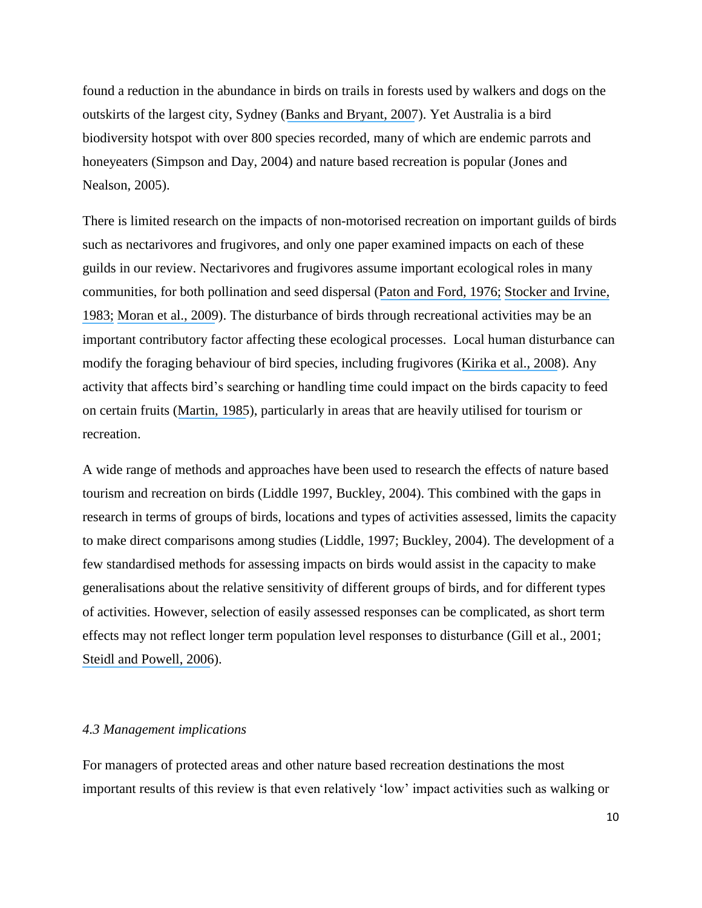found a reduction in the abundance in birds on trails in forests used by walkers and dogs on the outskirts of the largest city, Sydney ([Banks and Bryant, 2007](https://www.researchgate.net/publication/6055768_Four-legged_friend_or_foe_Dog_walking_displaces_native_birds_from_natural_areas?el=1_x_8&enrichId=rgreq-0307f78f61e3183d478f1b9b25fcac13-XXX&enrichSource=Y292ZXJQYWdlOzUxMTkwNzcxO0FTOjk3NzQxNDcyNTM0NTMzQDE0MDAzMTQ3OTEyMzY=)). Yet Australia is a bird biodiversity hotspot with over 800 species recorded, many of which are endemic parrots and honeyeaters (Simpson and Day, 2004) and nature based recreation is popular (Jones and Nealson, 2005).

There is limited research on the impacts of non-motorised recreation on important guilds of birds such as nectarivores and frugivores, and only one paper examined impacts on each of these guilds in our review. Nectarivores and frugivores assume important ecological roles in many communities, for both pollination and seed dispersal ([Paton and Ford, 1976;](https://www.researchgate.net/publication/236887567_Pollination_by_birds_of_native_plants_in_South_Australia?el=1_x_8&enrichId=rgreq-0307f78f61e3183d478f1b9b25fcac13-XXX&enrichSource=Y292ZXJQYWdlOzUxMTkwNzcxO0FTOjk3NzQxNDcyNTM0NTMzQDE0MDAzMTQ3OTEyMzY=) [Stocker and Irvine,](https://www.researchgate.net/publication/272593493_Seed_Dispersal_by_Cassowaries_Casuarius_casuarius_in_North_Queensland)  [1983;](https://www.researchgate.net/publication/272593493_Seed_Dispersal_by_Cassowaries_Casuarius_casuarius_in_North_Queensland) [Moran et al., 2009](https://www.researchgate.net/publication/223936050_Reduced_dispersal_of_native_plant_species_as_a_consequence_of_the_reduced_abundance_of_frugivore_species_in_fragmented_rainforest?el=1_x_8&enrichId=rgreq-0307f78f61e3183d478f1b9b25fcac13-XXX&enrichSource=Y292ZXJQYWdlOzUxMTkwNzcxO0FTOjk3NzQxNDcyNTM0NTMzQDE0MDAzMTQ3OTEyMzY=)). The disturbance of birds through recreational activities may be an important contributory factor affecting these ecological processes. Local human disturbance can modify the foraging behaviour of bird species, including frugivores ([Kirika et al., 2008](https://www.researchgate.net/publication/5611368_Effects_of_Local_Disturbance_of_Tropical_Forests_on_Frugivores_and_Seed_Removal_of_a_Small-Seeded_Afrotropical_Tree?el=1_x_8&enrichId=rgreq-0307f78f61e3183d478f1b9b25fcac13-XXX&enrichSource=Y292ZXJQYWdlOzUxMTkwNzcxO0FTOjk3NzQxNDcyNTM0NTMzQDE0MDAzMTQ3OTEyMzY=)). Any activity that affects bird's searching or handling time could impact on the birds capacity to feed on certain fruits ([Martin, 1985](https://www.researchgate.net/publication/225198619_Resource_selection_by_tropical_frugivorous_birds_integrating_multiple_interactions?el=1_x_8&enrichId=rgreq-0307f78f61e3183d478f1b9b25fcac13-XXX&enrichSource=Y292ZXJQYWdlOzUxMTkwNzcxO0FTOjk3NzQxNDcyNTM0NTMzQDE0MDAzMTQ3OTEyMzY=)), particularly in areas that are heavily utilised for tourism or recreation.

A wide range of methods and approaches have been used to research the effects of nature based tourism and recreation on birds (Liddle 1997, Buckley, 2004). This combined with the gaps in research in terms of groups of birds, locations and types of activities assessed, limits the capacity to make direct comparisons among studies (Liddle, 1997; Buckley, 2004). The development of a few standardised methods for assessing impacts on birds would assist in the capacity to make generalisations about the relative sensitivity of different groups of birds, and for different types of activities. However, selection of easily assessed responses can be complicated, as short term effects may not reflect longer term population level responses to disturbance (Gill et al., 2001; [Steidl and Powell, 2006](https://www.researchgate.net/publication/285725027_Assessing_the_effects_of_human_activities_on_wildlife?el=1_x_8&enrichId=rgreq-0307f78f61e3183d478f1b9b25fcac13-XXX&enrichSource=Y292ZXJQYWdlOzUxMTkwNzcxO0FTOjk3NzQxNDcyNTM0NTMzQDE0MDAzMTQ3OTEyMzY=)).

#### *4.3 Management implications*

For managers of protected areas and other nature based recreation destinations the most important results of this review is that even relatively 'low' impact activities such as walking or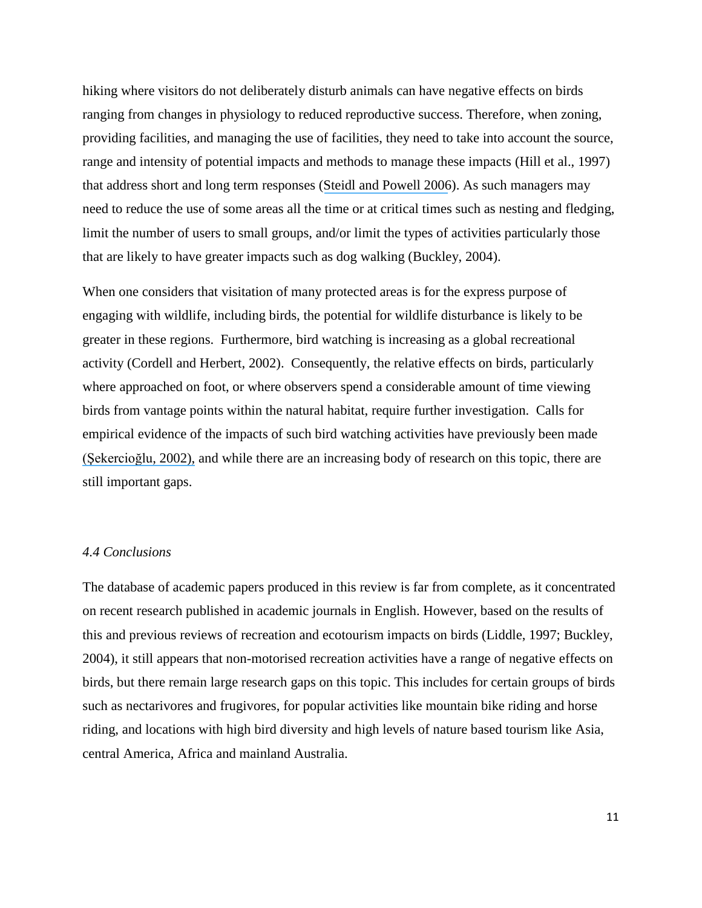hiking where visitors do not deliberately disturb animals can have negative effects on birds ranging from changes in physiology to reduced reproductive success. Therefore, when zoning, providing facilities, and managing the use of facilities, they need to take into account the source, range and intensity of potential impacts and methods to manage these impacts (Hill et al., 1997) that address short and long term responses ([Steidl and Powell 2006](https://www.researchgate.net/publication/285725027_Assessing_the_effects_of_human_activities_on_wildlife?el=1_x_8&enrichId=rgreq-0307f78f61e3183d478f1b9b25fcac13-XXX&enrichSource=Y292ZXJQYWdlOzUxMTkwNzcxO0FTOjk3NzQxNDcyNTM0NTMzQDE0MDAzMTQ3OTEyMzY=)). As such managers may need to reduce the use of some areas all the time or at critical times such as nesting and fledging, limit the number of users to small groups, and/or limit the types of activities particularly those that are likely to have greater impacts such as dog walking (Buckley, 2004).

When one considers that visitation of many protected areas is for the express purpose of engaging with wildlife, including birds, the potential for wildlife disturbance is likely to be greater in these regions. Furthermore, bird watching is increasing as a global recreational activity (Cordell and Herbert, 2002). Consequently, the relative effects on birds, particularly where approached on foot, or where observers spend a considerable amount of time viewing birds from vantage points within the natural habitat, require further investigation. Calls for empirical evidence of the impacts of such bird watching activities have previously been made [\(Şekercioğlu,](https://www.researchgate.net/publication/230835053_Impacts_of_birdwatching_on_human_and_avian_communities?el=1_x_8&enrichId=rgreq-0307f78f61e3183d478f1b9b25fcac13-XXX&enrichSource=Y292ZXJQYWdlOzUxMTkwNzcxO0FTOjk3NzQxNDcyNTM0NTMzQDE0MDAzMTQ3OTEyMzY=) 2002), and while there are an increasing body of research on this topic, there are still important gaps.

#### *4.4 Conclusions*

The database of academic papers produced in this review is far from complete, as it concentrated on recent research published in academic journals in English. However, based on the results of this and previous reviews of recreation and ecotourism impacts on birds (Liddle, 1997; Buckley, 2004), it still appears that non-motorised recreation activities have a range of negative effects on birds, but there remain large research gaps on this topic. This includes for certain groups of birds such as nectarivores and frugivores, for popular activities like mountain bike riding and horse riding, and locations with high bird diversity and high levels of nature based tourism like Asia, central America, Africa and mainland Australia.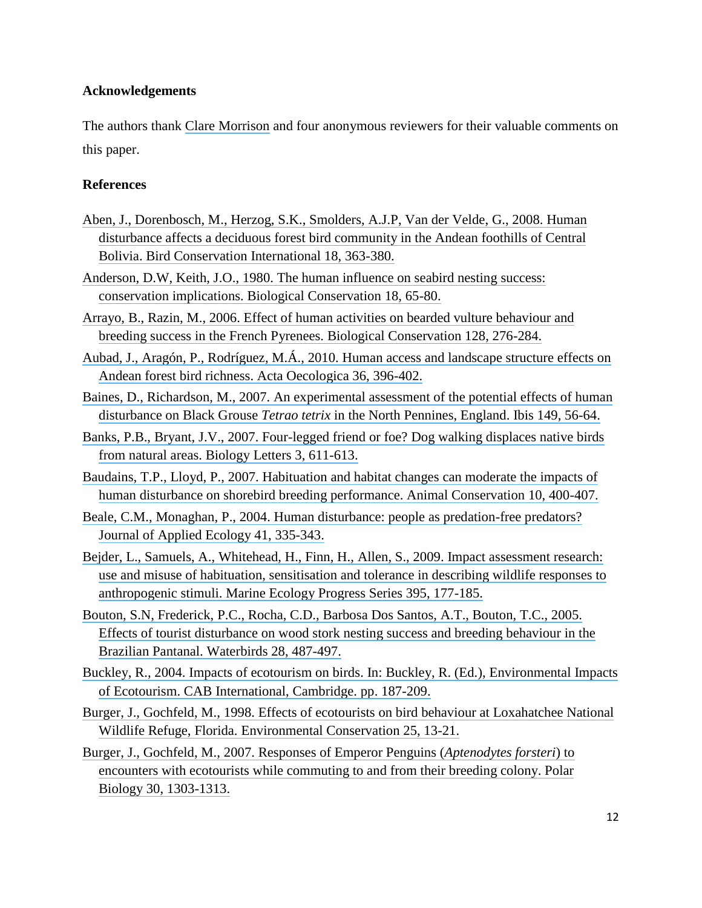#### **Acknowledgements**

The authors thank [Clare Morrison](https://www.researchgate.net/profile/Clare_Morrison?el=1_x_11&enrichId=rgreq-0307f78f61e3183d478f1b9b25fcac13-XXX&enrichSource=Y292ZXJQYWdlOzUxMTkwNzcxO0FTOjk3NzQxNDcyNTM0NTMzQDE0MDAzMTQ3OTEyMzY=) and four anonymous reviewers for their valuable comments on this paper.

#### **References**

- [Aben, J., Dorenbosch, M., Herzog, S.K., Smolders, A.J.P, Van der Velde, G., 2008. Human](https://www.researchgate.net/publication/224845451_Human_Disturbance_affects_a_Deciduous_Forest_Bird_Community_in_the_Andean_Foothills_of_Central_Bolivia?el=1_x_8&enrichId=rgreq-0307f78f61e3183d478f1b9b25fcac13-XXX&enrichSource=Y292ZXJQYWdlOzUxMTkwNzcxO0FTOjk3NzQxNDcyNTM0NTMzQDE0MDAzMTQ3OTEyMzY=) [disturbance affects a deciduous forest bird community in the Andean foothills of Central](https://www.researchgate.net/publication/224845451_Human_Disturbance_affects_a_Deciduous_Forest_Bird_Community_in_the_Andean_Foothills_of_Central_Bolivia?el=1_x_8&enrichId=rgreq-0307f78f61e3183d478f1b9b25fcac13-XXX&enrichSource=Y292ZXJQYWdlOzUxMTkwNzcxO0FTOjk3NzQxNDcyNTM0NTMzQDE0MDAzMTQ3OTEyMzY=) [Bolivia. Bird Conservation International 18, 363-380.](https://www.researchgate.net/publication/224845451_Human_Disturbance_affects_a_Deciduous_Forest_Bird_Community_in_the_Andean_Foothills_of_Central_Bolivia?el=1_x_8&enrichId=rgreq-0307f78f61e3183d478f1b9b25fcac13-XXX&enrichSource=Y292ZXJQYWdlOzUxMTkwNzcxO0FTOjk3NzQxNDcyNTM0NTMzQDE0MDAzMTQ3OTEyMzY=)
- [Anderson, D.W, Keith, J.O., 1980. The human influence on seabird nesting success:](https://www.researchgate.net/publication/222074369_The_human_influence_on_seabird_nesting_success_Conservation_implications?el=1_x_8&enrichId=rgreq-0307f78f61e3183d478f1b9b25fcac13-XXX&enrichSource=Y292ZXJQYWdlOzUxMTkwNzcxO0FTOjk3NzQxNDcyNTM0NTMzQDE0MDAzMTQ3OTEyMzY=) [conservation implications. Biological Conservation 18, 65-80.](https://www.researchgate.net/publication/222074369_The_human_influence_on_seabird_nesting_success_Conservation_implications?el=1_x_8&enrichId=rgreq-0307f78f61e3183d478f1b9b25fcac13-XXX&enrichSource=Y292ZXJQYWdlOzUxMTkwNzcxO0FTOjk3NzQxNDcyNTM0NTMzQDE0MDAzMTQ3OTEyMzY=)
- [Arrayo, B., Razin, M., 2006. Effect of human activities on bearded vulture behaviour and](https://www.researchgate.net/publication/229311056_Effect_of_human_activities_on_bearded_vulture_behaviour_and_breeding_success_in_French_Pyrenees?el=1_x_8&enrichId=rgreq-0307f78f61e3183d478f1b9b25fcac13-XXX&enrichSource=Y292ZXJQYWdlOzUxMTkwNzcxO0FTOjk3NzQxNDcyNTM0NTMzQDE0MDAzMTQ3OTEyMzY=)  [breeding success in the French Pyrenees. Biological Conservation 128, 276-284.](https://www.researchgate.net/publication/229311056_Effect_of_human_activities_on_bearded_vulture_behaviour_and_breeding_success_in_French_Pyrenees?el=1_x_8&enrichId=rgreq-0307f78f61e3183d478f1b9b25fcac13-XXX&enrichSource=Y292ZXJQYWdlOzUxMTkwNzcxO0FTOjk3NzQxNDcyNTM0NTMzQDE0MDAzMTQ3OTEyMzY=)
- [Aubad, J., Aragón, P., Rodríguez, M.Á., 2010. Human access and landscape structure effects on](https://www.researchgate.net/publication/228058664_Human_access_and_landscape_structure_effects_on_Andean_forest_bird_richness?el=1_x_8&enrichId=rgreq-0307f78f61e3183d478f1b9b25fcac13-XXX&enrichSource=Y292ZXJQYWdlOzUxMTkwNzcxO0FTOjk3NzQxNDcyNTM0NTMzQDE0MDAzMTQ3OTEyMzY=) [Andean forest bird richness. Acta Oecologica 36, 396-402.](https://www.researchgate.net/publication/228058664_Human_access_and_landscape_structure_effects_on_Andean_forest_bird_richness?el=1_x_8&enrichId=rgreq-0307f78f61e3183d478f1b9b25fcac13-XXX&enrichSource=Y292ZXJQYWdlOzUxMTkwNzcxO0FTOjk3NzQxNDcyNTM0NTMzQDE0MDAzMTQ3OTEyMzY=)
- [Baines, D., Richardson, M., 2007. An experimental assessment of the potential effects of human](https://www.researchgate.net/publication/227673809_An_experimental_assessment_of_the_potential_effects_of_human_disturbance_on_Black_Grouse_Tetrao_tetrix_in_the_North_Pennines_England?el=1_x_8&enrichId=rgreq-0307f78f61e3183d478f1b9b25fcac13-XXX&enrichSource=Y292ZXJQYWdlOzUxMTkwNzcxO0FTOjk3NzQxNDcyNTM0NTMzQDE0MDAzMTQ3OTEyMzY=)  disturbance on Black Grouse *Tetrao tetrix* [in the North Pennines, England. Ibis 149, 56-64.](https://www.researchgate.net/publication/227673809_An_experimental_assessment_of_the_potential_effects_of_human_disturbance_on_Black_Grouse_Tetrao_tetrix_in_the_North_Pennines_England?el=1_x_8&enrichId=rgreq-0307f78f61e3183d478f1b9b25fcac13-XXX&enrichSource=Y292ZXJQYWdlOzUxMTkwNzcxO0FTOjk3NzQxNDcyNTM0NTMzQDE0MDAzMTQ3OTEyMzY=)
- [Banks, P.B., Bryant, J.V., 2007. Four-legged friend or foe? Dog walking displaces native birds](https://www.researchgate.net/publication/6055768_Four-legged_friend_or_foe_Dog_walking_displaces_native_birds_from_natural_areas?el=1_x_8&enrichId=rgreq-0307f78f61e3183d478f1b9b25fcac13-XXX&enrichSource=Y292ZXJQYWdlOzUxMTkwNzcxO0FTOjk3NzQxNDcyNTM0NTMzQDE0MDAzMTQ3OTEyMzY=) [from natural areas. Biology Letters 3, 611-613.](https://www.researchgate.net/publication/6055768_Four-legged_friend_or_foe_Dog_walking_displaces_native_birds_from_natural_areas?el=1_x_8&enrichId=rgreq-0307f78f61e3183d478f1b9b25fcac13-XXX&enrichSource=Y292ZXJQYWdlOzUxMTkwNzcxO0FTOjk3NzQxNDcyNTM0NTMzQDE0MDAzMTQ3OTEyMzY=)
- [Baudains, T.P., Lloyd, P., 2007. Habituation and habitat changes can moderate the impacts of](https://www.researchgate.net/publication/227951394_Habituation_and_habitat_changes_can_moderate_the_impacts_of_human_disturbance_on_shorebird_breeding_performance?el=1_x_8&enrichId=rgreq-0307f78f61e3183d478f1b9b25fcac13-XXX&enrichSource=Y292ZXJQYWdlOzUxMTkwNzcxO0FTOjk3NzQxNDcyNTM0NTMzQDE0MDAzMTQ3OTEyMzY=)  [human disturbance on shorebird breeding performance. Animal Conservation 10, 400-407.](https://www.researchgate.net/publication/227951394_Habituation_and_habitat_changes_can_moderate_the_impacts_of_human_disturbance_on_shorebird_breeding_performance?el=1_x_8&enrichId=rgreq-0307f78f61e3183d478f1b9b25fcac13-XXX&enrichSource=Y292ZXJQYWdlOzUxMTkwNzcxO0FTOjk3NzQxNDcyNTM0NTMzQDE0MDAzMTQ3OTEyMzY=)
- [Beale, C.M., Monaghan, P., 2004. Human disturbance: people as predation-free predators?](https://www.researchgate.net/publication/227984304_Human_disturbance_People_as_predation-free_predators?el=1_x_8&enrichId=rgreq-0307f78f61e3183d478f1b9b25fcac13-XXX&enrichSource=Y292ZXJQYWdlOzUxMTkwNzcxO0FTOjk3NzQxNDcyNTM0NTMzQDE0MDAzMTQ3OTEyMzY=)  [Journal of Applied Ecology 41, 335-343.](https://www.researchgate.net/publication/227984304_Human_disturbance_People_as_predation-free_predators?el=1_x_8&enrichId=rgreq-0307f78f61e3183d478f1b9b25fcac13-XXX&enrichSource=Y292ZXJQYWdlOzUxMTkwNzcxO0FTOjk3NzQxNDcyNTM0NTMzQDE0MDAzMTQ3OTEyMzY=)
- [Bejder, L., Samuels, A., Whitehead, H., Finn, H.,](https://www.researchgate.net/publication/43980707_Impact_assessment_research_Use_and_misuse_of_habituation_sensitisation_and_tolerance_in_describing_wildlife_responses_to_anthropogenic_stimuli?el=1_x_8&enrichId=rgreq-0307f78f61e3183d478f1b9b25fcac13-XXX&enrichSource=Y292ZXJQYWdlOzUxMTkwNzcxO0FTOjk3NzQxNDcyNTM0NTMzQDE0MDAzMTQ3OTEyMzY=) Allen, S., 2009. Impact assessment research: [use and misuse of habituation, sensitisation and tolerance](https://www.researchgate.net/publication/43980707_Impact_assessment_research_Use_and_misuse_of_habituation_sensitisation_and_tolerance_in_describing_wildlife_responses_to_anthropogenic_stimuli?el=1_x_8&enrichId=rgreq-0307f78f61e3183d478f1b9b25fcac13-XXX&enrichSource=Y292ZXJQYWdlOzUxMTkwNzcxO0FTOjk3NzQxNDcyNTM0NTMzQDE0MDAzMTQ3OTEyMzY=) in describing wildlife responses to [anthropogenic stimuli. Marine Ecology Progress Series 395, 177-185.](https://www.researchgate.net/publication/43980707_Impact_assessment_research_Use_and_misuse_of_habituation_sensitisation_and_tolerance_in_describing_wildlife_responses_to_anthropogenic_stimuli?el=1_x_8&enrichId=rgreq-0307f78f61e3183d478f1b9b25fcac13-XXX&enrichSource=Y292ZXJQYWdlOzUxMTkwNzcxO0FTOjk3NzQxNDcyNTM0NTMzQDE0MDAzMTQ3OTEyMzY=)
- [Bouton, S.N, Frederick, P.C., Rocha, C.D., Barbosa Dos Santos, A.T., Bouton, T.C., 2005.](https://www.researchgate.net/publication/232664389_Effects_of_Tourist_Disturbance_on_Wood_Stork_Nesting_Success_and_Breeding_Behavior_in_the_Brazilian_Pantanal?el=1_x_8&enrichId=rgreq-0307f78f61e3183d478f1b9b25fcac13-XXX&enrichSource=Y292ZXJQYWdlOzUxMTkwNzcxO0FTOjk3NzQxNDcyNTM0NTMzQDE0MDAzMTQ3OTEyMzY=)  [Effects of tourist disturbance on wood stork nesting success and breeding behaviour in the](https://www.researchgate.net/publication/232664389_Effects_of_Tourist_Disturbance_on_Wood_Stork_Nesting_Success_and_Breeding_Behavior_in_the_Brazilian_Pantanal?el=1_x_8&enrichId=rgreq-0307f78f61e3183d478f1b9b25fcac13-XXX&enrichSource=Y292ZXJQYWdlOzUxMTkwNzcxO0FTOjk3NzQxNDcyNTM0NTMzQDE0MDAzMTQ3OTEyMzY=)  [Brazilian Pantanal. Waterbirds 28, 487-497.](https://www.researchgate.net/publication/232664389_Effects_of_Tourist_Disturbance_on_Wood_Stork_Nesting_Success_and_Breeding_Behavior_in_the_Brazilian_Pantanal?el=1_x_8&enrichId=rgreq-0307f78f61e3183d478f1b9b25fcac13-XXX&enrichSource=Y292ZXJQYWdlOzUxMTkwNzcxO0FTOjk3NzQxNDcyNTM0NTMzQDE0MDAzMTQ3OTEyMzY=)
- [Buckley, R., 2004. Impacts of ecotourism on birds.](https://www.researchgate.net/publication/29451785_Impacts_of_ecotourism_on_birds?el=1_x_8&enrichId=rgreq-0307f78f61e3183d478f1b9b25fcac13-XXX&enrichSource=Y292ZXJQYWdlOzUxMTkwNzcxO0FTOjk3NzQxNDcyNTM0NTMzQDE0MDAzMTQ3OTEyMzY=) In: Buckley, R. (Ed.), Environmental Impacts [of Ecotourism. CAB International, Cambridge. pp. 187-209.](https://www.researchgate.net/publication/29451785_Impacts_of_ecotourism_on_birds?el=1_x_8&enrichId=rgreq-0307f78f61e3183d478f1b9b25fcac13-XXX&enrichSource=Y292ZXJQYWdlOzUxMTkwNzcxO0FTOjk3NzQxNDcyNTM0NTMzQDE0MDAzMTQ3OTEyMzY=)
- [Burger, J., Gochfeld, M., 1998. Effects of ecotourists on bird behaviour at Loxahatchee National](https://www.researchgate.net/publication/231936043_Effects_of_ecotourists_on_bird_behaviour_at_Loxahatchee_National_Wildlife_Refuge_Florida?el=1_x_8&enrichId=rgreq-0307f78f61e3183d478f1b9b25fcac13-XXX&enrichSource=Y292ZXJQYWdlOzUxMTkwNzcxO0FTOjk3NzQxNDcyNTM0NTMzQDE0MDAzMTQ3OTEyMzY=)  Wildlife Refuge, Florida. [Environmental Conservation 25, 13-21.](https://www.researchgate.net/publication/231936043_Effects_of_ecotourists_on_bird_behaviour_at_Loxahatchee_National_Wildlife_Refuge_Florida?el=1_x_8&enrichId=rgreq-0307f78f61e3183d478f1b9b25fcac13-XXX&enrichSource=Y292ZXJQYWdlOzUxMTkwNzcxO0FTOjk3NzQxNDcyNTM0NTMzQDE0MDAzMTQ3OTEyMzY=)
- [Burger, J., Gochfeld, M., 2007. Responses of Emperor Penguins \(](https://www.researchgate.net/publication/226474207_Responses_to_Emperor_Penguins_Aptenodytes_forsteri_to_encouters_with_ecotourists_while_commuting_to_and_from_their_breeding_colony?el=1_x_8&enrichId=rgreq-0307f78f61e3183d478f1b9b25fcac13-XXX&enrichSource=Y292ZXJQYWdlOzUxMTkwNzcxO0FTOjk3NzQxNDcyNTM0NTMzQDE0MDAzMTQ3OTEyMzY=)*Aptenodytes forsteri*) to [encounters with ecotourists while commuting to and from their breeding colony. Polar](https://www.researchgate.net/publication/226474207_Responses_to_Emperor_Penguins_Aptenodytes_forsteri_to_encouters_with_ecotourists_while_commuting_to_and_from_their_breeding_colony?el=1_x_8&enrichId=rgreq-0307f78f61e3183d478f1b9b25fcac13-XXX&enrichSource=Y292ZXJQYWdlOzUxMTkwNzcxO0FTOjk3NzQxNDcyNTM0NTMzQDE0MDAzMTQ3OTEyMzY=)  [Biology 30, 1303-1313.](https://www.researchgate.net/publication/226474207_Responses_to_Emperor_Penguins_Aptenodytes_forsteri_to_encouters_with_ecotourists_while_commuting_to_and_from_their_breeding_colony?el=1_x_8&enrichId=rgreq-0307f78f61e3183d478f1b9b25fcac13-XXX&enrichSource=Y292ZXJQYWdlOzUxMTkwNzcxO0FTOjk3NzQxNDcyNTM0NTMzQDE0MDAzMTQ3OTEyMzY=)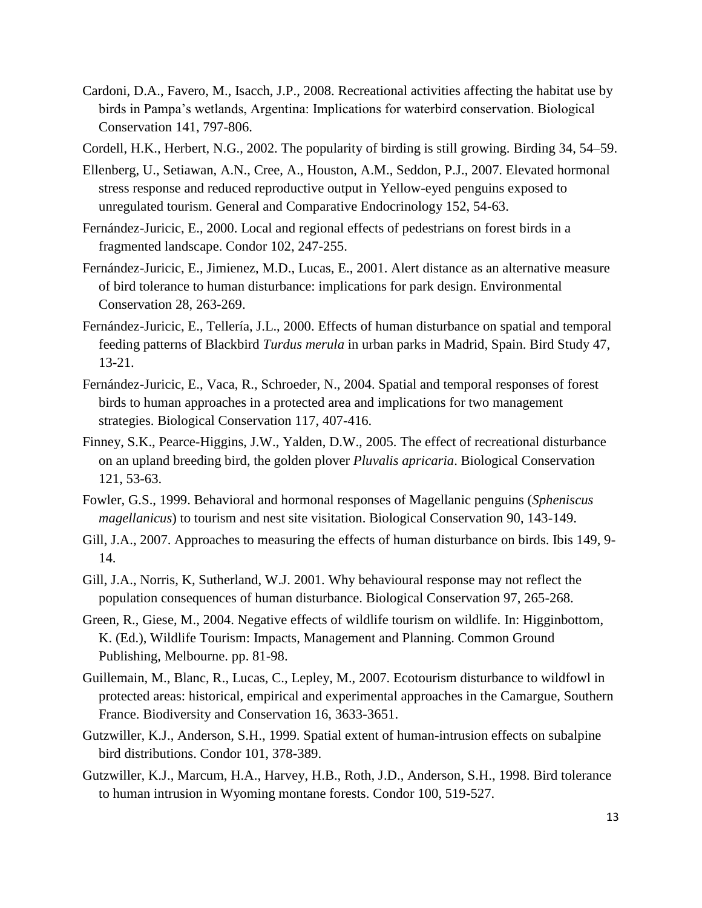Cardoni, D.A., Favero, M., Isacch, J.P., 2008. Recreational activities affecting the habitat use by birds in Pampa's wetlands, Argentina: Implications for waterbird conservation. Biological Conservation 141, 797-806.

Cordell, H.K., Herbert, N.G., 2002. The popularity of birding is still growing. Birding 34, 54–59.

- Ellenberg, U., Setiawan, A.N., Cree, A., Houston, A.M., Seddon, P.J., 2007. Elevated hormonal stress response and reduced reproductive output in Yellow-eyed penguins exposed to unregulated tourism. General and Comparative Endocrinology 152, 54-63.
- Fernández-Juricic, E., 2000. Local and regional effects of pedestrians on forest birds in a fragmented landscape. Condor 102, 247-255.
- Fernández-Juricic, E., Jimienez, M.D., Lucas, E., 2001. Alert distance as an alternative measure of bird tolerance to human disturbance: implications for park design. Environmental Conservation 28, 263-269.
- Fernández-Juricic, E., Tellería, J.L., 2000. Effects of human disturbance on spatial and temporal feeding patterns of Blackbird *Turdus merula* in urban parks in Madrid, Spain. Bird Study 47, 13-21.
- Fernández-Juricic, E., Vaca, R., Schroeder, N., 2004. Spatial and temporal responses of forest birds to human approaches in a protected area and implications for two management strategies. Biological Conservation 117, 407-416.
- Finney, S.K., Pearce-Higgins, J.W., Yalden, D.W., 2005. The effect of recreational disturbance on an upland breeding bird, the golden plover *Pluvalis apricaria*. Biological Conservation 121, 53-63.
- Fowler, G.S., 1999. Behavioral and hormonal responses of Magellanic penguins (*Spheniscus magellanicus*) to tourism and nest site visitation. Biological Conservation 90, 143-149.
- Gill, J.A., 2007. Approaches to measuring the effects of human disturbance on birds. Ibis 149, 9- 14.
- Gill, J.A., Norris, K, Sutherland, W.J. 2001. Why behavioural response may not reflect the population consequences of human disturbance. Biological Conservation 97, 265-268.
- Green, R., Giese, M., 2004. Negative effects of wildlife tourism on wildlife. In: Higginbottom, K. (Ed.), Wildlife Tourism: Impacts, Management and Planning. Common Ground Publishing, Melbourne. pp. 81-98.
- Guillemain, M., Blanc, R., Lucas, C., Lepley, M., 2007. Ecotourism disturbance to wildfowl in protected areas: historical, empirical and experimental approaches in the Camargue, Southern France. Biodiversity and Conservation 16, 3633-3651.
- Gutzwiller, K.J., Anderson, S.H., 1999. Spatial extent of human-intrusion effects on subalpine bird distributions. Condor 101, 378-389.
- Gutzwiller, K.J., Marcum, H.A., Harvey, H.B., Roth, J.D., Anderson, S.H., 1998. Bird tolerance to human intrusion in Wyoming montane forests. Condor 100, 519-527.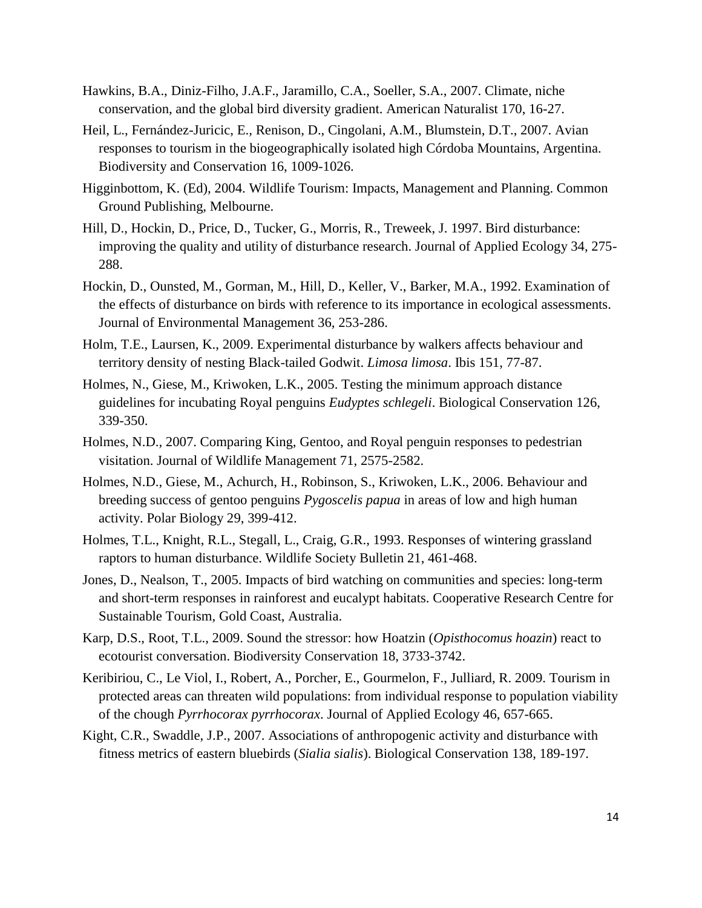- Hawkins, B.A., Diniz-Filho, J.A.F., Jaramillo, C.A., Soeller, S.A., 2007. Climate, niche conservation, and the global bird diversity gradient. American Naturalist 170, 16-27.
- Heil, L., Fernández-Juricic, E., Renison, D., Cingolani, A.M., Blumstein, D.T., 2007. Avian responses to tourism in the biogeographically isolated high Córdoba Mountains, Argentina. Biodiversity and Conservation 16, 1009-1026.
- Higginbottom, K. (Ed), 2004. Wildlife Tourism: Impacts, Management and Planning. Common Ground Publishing, Melbourne.
- Hill, D., Hockin, D., Price, D., Tucker, G., Morris, R., Treweek, J. 1997. Bird disturbance: improving the quality and utility of disturbance research. Journal of Applied Ecology 34, 275- 288.
- Hockin, D., Ounsted, M., Gorman, M., Hill, D., Keller, V., Barker, M.A., 1992. Examination of the effects of disturbance on birds with reference to its importance in ecological assessments. Journal of Environmental Management 36, 253-286.
- Holm, T.E., Laursen, K., 2009. Experimental disturbance by walkers affects behaviour and territory density of nesting Black-tailed Godwit. *Limosa limosa*. Ibis 151, 77-87.
- Holmes, N., Giese, M., Kriwoken, L.K., 2005. Testing the minimum approach distance guidelines for incubating Royal penguins *Eudyptes schlegeli*. Biological Conservation 126, 339-350.
- Holmes, N.D., 2007. Comparing King, Gentoo, and Royal penguin responses to pedestrian visitation. Journal of Wildlife Management 71, 2575-2582.
- Holmes, N.D., Giese, M., Achurch, H., Robinson, S., Kriwoken, L.K., 2006. Behaviour and breeding success of gentoo penguins *Pygoscelis papua* in areas of low and high human activity. Polar Biology 29, 399-412.
- Holmes, T.L., Knight, R.L., Stegall, L., Craig, G.R., 1993. Responses of wintering grassland raptors to human disturbance. Wildlife Society Bulletin 21, 461-468.
- Jones, D., Nealson, T., 2005. Impacts of bird watching on communities and species: long-term and short-term responses in rainforest and eucalypt habitats. Cooperative Research Centre for Sustainable Tourism, Gold Coast, Australia.
- Karp, D.S., Root, T.L., 2009. Sound the stressor: how Hoatzin (*Opisthocomus hoazin*) react to ecotourist conversation. Biodiversity Conservation 18, 3733-3742.
- Keribiriou, C., Le Viol, I., Robert, A., Porcher, E., Gourmelon, F., Julliard, R. 2009. Tourism in protected areas can threaten wild populations: from individual response to population viability of the chough *Pyrrhocorax pyrrhocorax*. Journal of Applied Ecology 46, 657-665.
- Kight, C.R., Swaddle, J.P., 2007. Associations of anthropogenic activity and disturbance with fitness metrics of eastern bluebirds (*Sialia sialis*). Biological Conservation 138, 189-197.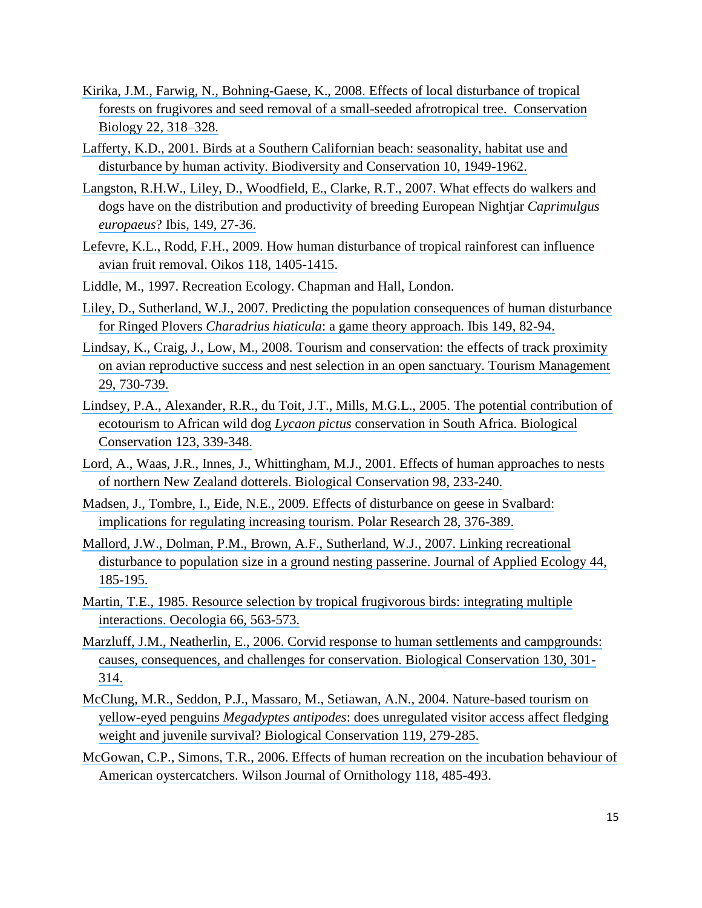- [Kirika, J.M., Farwig, N., Bohning-Gaese, K., 2008. Effects of local disturbance of tropical](https://www.researchgate.net/publication/5611368_Effects_of_Local_Disturbance_of_Tropical_Forests_on_Frugivores_and_Seed_Removal_of_a_Small-Seeded_Afrotropical_Tree?el=1_x_8&enrichId=rgreq-0307f78f61e3183d478f1b9b25fcac13-XXX&enrichSource=Y292ZXJQYWdlOzUxMTkwNzcxO0FTOjk3NzQxNDcyNTM0NTMzQDE0MDAzMTQ3OTEyMzY=) [forests on frugivores and seed removal of a small-seeded afrotropical tree. Conservation](https://www.researchgate.net/publication/5611368_Effects_of_Local_Disturbance_of_Tropical_Forests_on_Frugivores_and_Seed_Removal_of_a_Small-Seeded_Afrotropical_Tree?el=1_x_8&enrichId=rgreq-0307f78f61e3183d478f1b9b25fcac13-XXX&enrichSource=Y292ZXJQYWdlOzUxMTkwNzcxO0FTOjk3NzQxNDcyNTM0NTMzQDE0MDAzMTQ3OTEyMzY=) [Biology 22, 318–328.](https://www.researchgate.net/publication/5611368_Effects_of_Local_Disturbance_of_Tropical_Forests_on_Frugivores_and_Seed_Removal_of_a_Small-Seeded_Afrotropical_Tree?el=1_x_8&enrichId=rgreq-0307f78f61e3183d478f1b9b25fcac13-XXX&enrichSource=Y292ZXJQYWdlOzUxMTkwNzcxO0FTOjk3NzQxNDcyNTM0NTMzQDE0MDAzMTQ3OTEyMzY=)
- [Lafferty, K.D., 2001. Birds at a Southern Californian beach: seasonality, habitat use and](https://www.researchgate.net/publication/225893792_Birds_at_a_Southern_California_beach_Seasonality_habitat_use_and_disturbance_by_human_activity?el=1_x_8&enrichId=rgreq-0307f78f61e3183d478f1b9b25fcac13-XXX&enrichSource=Y292ZXJQYWdlOzUxMTkwNzcxO0FTOjk3NzQxNDcyNTM0NTMzQDE0MDAzMTQ3OTEyMzY=) [disturbance by human activity. Biodiversity and Conservation 10, 1949-1962.](https://www.researchgate.net/publication/225893792_Birds_at_a_Southern_California_beach_Seasonality_habitat_use_and_disturbance_by_human_activity?el=1_x_8&enrichId=rgreq-0307f78f61e3183d478f1b9b25fcac13-XXX&enrichSource=Y292ZXJQYWdlOzUxMTkwNzcxO0FTOjk3NzQxNDcyNTM0NTMzQDE0MDAzMTQ3OTEyMzY=)
- [Langston, R.H.W., Liley, D., Woodfield, E., Clarke, R.T., 2007. What effects do walkers and](https://www.researchgate.net/publication/227522290_What_effects_do_walkers_and_dogs_have_on_the_distribution_and_productivity_of_breeding_European_Nightjar_Caprimulgus_europaeus?el=1_x_8&enrichId=rgreq-0307f78f61e3183d478f1b9b25fcac13-XXX&enrichSource=Y292ZXJQYWdlOzUxMTkwNzcxO0FTOjk3NzQxNDcyNTM0NTMzQDE0MDAzMTQ3OTEyMzY=) [dogs have on the distribution and productivity of breeding European Nightjar](https://www.researchgate.net/publication/227522290_What_effects_do_walkers_and_dogs_have_on_the_distribution_and_productivity_of_breeding_European_Nightjar_Caprimulgus_europaeus?el=1_x_8&enrichId=rgreq-0307f78f61e3183d478f1b9b25fcac13-XXX&enrichSource=Y292ZXJQYWdlOzUxMTkwNzcxO0FTOjk3NzQxNDcyNTM0NTMzQDE0MDAzMTQ3OTEyMzY=) *Caprimulgus europaeus*[? Ibis, 149, 27-36.](https://www.researchgate.net/publication/227522290_What_effects_do_walkers_and_dogs_have_on_the_distribution_and_productivity_of_breeding_European_Nightjar_Caprimulgus_europaeus?el=1_x_8&enrichId=rgreq-0307f78f61e3183d478f1b9b25fcac13-XXX&enrichSource=Y292ZXJQYWdlOzUxMTkwNzcxO0FTOjk3NzQxNDcyNTM0NTMzQDE0MDAzMTQ3OTEyMzY=)
- [Lefevre, K.L., Rodd, F.H., 2009. How human disturbance of tropical rainforest can influence](https://www.researchgate.net/publication/227529996_How_human_disturbance_of_tropical_rainforest_can_influence_avian_fruit_removal?el=1_x_8&enrichId=rgreq-0307f78f61e3183d478f1b9b25fcac13-XXX&enrichSource=Y292ZXJQYWdlOzUxMTkwNzcxO0FTOjk3NzQxNDcyNTM0NTMzQDE0MDAzMTQ3OTEyMzY=)  [avian fruit removal. Oikos 118, 1405-1415.](https://www.researchgate.net/publication/227529996_How_human_disturbance_of_tropical_rainforest_can_influence_avian_fruit_removal?el=1_x_8&enrichId=rgreq-0307f78f61e3183d478f1b9b25fcac13-XXX&enrichSource=Y292ZXJQYWdlOzUxMTkwNzcxO0FTOjk3NzQxNDcyNTM0NTMzQDE0MDAzMTQ3OTEyMzY=)
- Liddle, M., 1997. Recreation Ecology. Chapman and Hall, London.
- [Liley, D., Sutherland, W.J., 2007. Predicting the population consequences of human disturbance](https://www.researchgate.net/publication/227541598_Predicting_the_population_consequences_of_human_disturbance_for_Ringed_Plovers_Charadrius_hiaticula_A_game_theory_approach?el=1_x_8&enrichId=rgreq-0307f78f61e3183d478f1b9b25fcac13-XXX&enrichSource=Y292ZXJQYWdlOzUxMTkwNzcxO0FTOjk3NzQxNDcyNTM0NTMzQDE0MDAzMTQ3OTEyMzY=) for Ringed Plovers *Charadrius hiaticula*[: a game theory approach. Ibis 149, 82-94.](https://www.researchgate.net/publication/227541598_Predicting_the_population_consequences_of_human_disturbance_for_Ringed_Plovers_Charadrius_hiaticula_A_game_theory_approach?el=1_x_8&enrichId=rgreq-0307f78f61e3183d478f1b9b25fcac13-XXX&enrichSource=Y292ZXJQYWdlOzUxMTkwNzcxO0FTOjk3NzQxNDcyNTM0NTMzQDE0MDAzMTQ3OTEyMzY=)
- Lindsay, K., Craig, J., Low, M., 2008. [Tourism and conservation: the effects of track proximity](https://www.researchgate.net/publication/223785274_Tourism_and_conservation_The_effects_of_track_proximity_on_avian_reproductive_success_and_nest_selection_in_an_open_sanctuary?el=1_x_8&enrichId=rgreq-0307f78f61e3183d478f1b9b25fcac13-XXX&enrichSource=Y292ZXJQYWdlOzUxMTkwNzcxO0FTOjk3NzQxNDcyNTM0NTMzQDE0MDAzMTQ3OTEyMzY=)  [on avian reproductive success and nest selection in an open sanctuary. Tourism Management](https://www.researchgate.net/publication/223785274_Tourism_and_conservation_The_effects_of_track_proximity_on_avian_reproductive_success_and_nest_selection_in_an_open_sanctuary?el=1_x_8&enrichId=rgreq-0307f78f61e3183d478f1b9b25fcac13-XXX&enrichSource=Y292ZXJQYWdlOzUxMTkwNzcxO0FTOjk3NzQxNDcyNTM0NTMzQDE0MDAzMTQ3OTEyMzY=) [29, 730-739.](https://www.researchgate.net/publication/223785274_Tourism_and_conservation_The_effects_of_track_proximity_on_avian_reproductive_success_and_nest_selection_in_an_open_sanctuary?el=1_x_8&enrichId=rgreq-0307f78f61e3183d478f1b9b25fcac13-XXX&enrichSource=Y292ZXJQYWdlOzUxMTkwNzcxO0FTOjk3NzQxNDcyNTM0NTMzQDE0MDAzMTQ3OTEyMzY=)
- [Lindsey, P.A., Alexander, R.R., du Toit, J.T., Mills, M.G.L., 2005. The potential contribution of](https://www.researchgate.net/publication/222536090_The_potential_contribution_of_ecotourism_to_African_wild_dog_Lycaon_pictus_conservation_in_South_Africa?el=1_x_8&enrichId=rgreq-0307f78f61e3183d478f1b9b25fcac13-XXX&enrichSource=Y292ZXJQYWdlOzUxMTkwNzcxO0FTOjk3NzQxNDcyNTM0NTMzQDE0MDAzMTQ3OTEyMzY=) ecotourism to African wild dog *Lycaon pictus* [conservation in South Africa. Biological](https://www.researchgate.net/publication/222536090_The_potential_contribution_of_ecotourism_to_African_wild_dog_Lycaon_pictus_conservation_in_South_Africa?el=1_x_8&enrichId=rgreq-0307f78f61e3183d478f1b9b25fcac13-XXX&enrichSource=Y292ZXJQYWdlOzUxMTkwNzcxO0FTOjk3NzQxNDcyNTM0NTMzQDE0MDAzMTQ3OTEyMzY=)  [Conservation 123, 339-348.](https://www.researchgate.net/publication/222536090_The_potential_contribution_of_ecotourism_to_African_wild_dog_Lycaon_pictus_conservation_in_South_Africa?el=1_x_8&enrichId=rgreq-0307f78f61e3183d478f1b9b25fcac13-XXX&enrichSource=Y292ZXJQYWdlOzUxMTkwNzcxO0FTOjk3NzQxNDcyNTM0NTMzQDE0MDAzMTQ3OTEyMzY=)
- [Lord, A., Waas, J.R., Innes, J., Whittingham, M.J., 2001. Effects of human approaches to nests](https://www.researchgate.net/publication/222524277_Effects_of_Human_Approaches_to_Nests_of_Northern_New_Zealand_Dotterels?el=1_x_8&enrichId=rgreq-0307f78f61e3183d478f1b9b25fcac13-XXX&enrichSource=Y292ZXJQYWdlOzUxMTkwNzcxO0FTOjk3NzQxNDcyNTM0NTMzQDE0MDAzMTQ3OTEyMzY=) [of northern New Zealand dotterels. Biological](https://www.researchgate.net/publication/222524277_Effects_of_Human_Approaches_to_Nests_of_Northern_New_Zealand_Dotterels?el=1_x_8&enrichId=rgreq-0307f78f61e3183d478f1b9b25fcac13-XXX&enrichSource=Y292ZXJQYWdlOzUxMTkwNzcxO0FTOjk3NzQxNDcyNTM0NTMzQDE0MDAzMTQ3OTEyMzY=) Conservation 98, 233-240.
- [Madsen, J., Tombre, I., Eide, N.E., 2009. Effects of disturbance on geese in Svalbard:](https://www.researchgate.net/publication/227609646_Effects_of_disturbance_on_geese_in_Svalbard_Implications_for_regulating_increasing_tourism?el=1_x_8&enrichId=rgreq-0307f78f61e3183d478f1b9b25fcac13-XXX&enrichSource=Y292ZXJQYWdlOzUxMTkwNzcxO0FTOjk3NzQxNDcyNTM0NTMzQDE0MDAzMTQ3OTEyMzY=)  [implications for regulating increasing tourism. Polar Research 28, 376-389.](https://www.researchgate.net/publication/227609646_Effects_of_disturbance_on_geese_in_Svalbard_Implications_for_regulating_increasing_tourism?el=1_x_8&enrichId=rgreq-0307f78f61e3183d478f1b9b25fcac13-XXX&enrichSource=Y292ZXJQYWdlOzUxMTkwNzcxO0FTOjk3NzQxNDcyNTM0NTMzQDE0MDAzMTQ3OTEyMzY=)
- [Mallord, J.W., Dolman, P.M., Brown, A.F., Sutherland, W.J., 2007. Linking recreational](https://www.researchgate.net/publication/228039420_Linking_recreational_disturbance_to_population_size_in_a_ground-nesting_passerine?el=1_x_8&enrichId=rgreq-0307f78f61e3183d478f1b9b25fcac13-XXX&enrichSource=Y292ZXJQYWdlOzUxMTkwNzcxO0FTOjk3NzQxNDcyNTM0NTMzQDE0MDAzMTQ3OTEyMzY=) [disturbance to population size in a ground nesting passerine. Journal of Applied Ecology 44,](https://www.researchgate.net/publication/228039420_Linking_recreational_disturbance_to_population_size_in_a_ground-nesting_passerine?el=1_x_8&enrichId=rgreq-0307f78f61e3183d478f1b9b25fcac13-XXX&enrichSource=Y292ZXJQYWdlOzUxMTkwNzcxO0FTOjk3NzQxNDcyNTM0NTMzQDE0MDAzMTQ3OTEyMzY=)  [185-195.](https://www.researchgate.net/publication/228039420_Linking_recreational_disturbance_to_population_size_in_a_ground-nesting_passerine?el=1_x_8&enrichId=rgreq-0307f78f61e3183d478f1b9b25fcac13-XXX&enrichSource=Y292ZXJQYWdlOzUxMTkwNzcxO0FTOjk3NzQxNDcyNTM0NTMzQDE0MDAzMTQ3OTEyMzY=)
- [Martin, T.E., 1985. Resource selection by tropical frugivorous birds: integrating multiple](https://www.researchgate.net/publication/225198619_Resource_selection_by_tropical_frugivorous_birds_integrating_multiple_interactions?el=1_x_8&enrichId=rgreq-0307f78f61e3183d478f1b9b25fcac13-XXX&enrichSource=Y292ZXJQYWdlOzUxMTkwNzcxO0FTOjk3NzQxNDcyNTM0NTMzQDE0MDAzMTQ3OTEyMzY=) [interactions. Oecologia 66, 563-573.](https://www.researchgate.net/publication/225198619_Resource_selection_by_tropical_frugivorous_birds_integrating_multiple_interactions?el=1_x_8&enrichId=rgreq-0307f78f61e3183d478f1b9b25fcac13-XXX&enrichSource=Y292ZXJQYWdlOzUxMTkwNzcxO0FTOjk3NzQxNDcyNTM0NTMzQDE0MDAzMTQ3OTEyMzY=)
- [Marzluff, J.M., Neatherlin, E., 2006. Corvid response to human settlements and campgrounds:](https://www.researchgate.net/publication/222431129_Corvid_response_to_human_settlements_and_campgrounds_Causes_consequences_and_challenges_for_conservation?el=1_x_8&enrichId=rgreq-0307f78f61e3183d478f1b9b25fcac13-XXX&enrichSource=Y292ZXJQYWdlOzUxMTkwNzcxO0FTOjk3NzQxNDcyNTM0NTMzQDE0MDAzMTQ3OTEyMzY=) [causes, consequences, and challenges for conservation. Biological Conservation 130, 301-](https://www.researchgate.net/publication/222431129_Corvid_response_to_human_settlements_and_campgrounds_Causes_consequences_and_challenges_for_conservation?el=1_x_8&enrichId=rgreq-0307f78f61e3183d478f1b9b25fcac13-XXX&enrichSource=Y292ZXJQYWdlOzUxMTkwNzcxO0FTOjk3NzQxNDcyNTM0NTMzQDE0MDAzMTQ3OTEyMzY=) [314.](https://www.researchgate.net/publication/222431129_Corvid_response_to_human_settlements_and_campgrounds_Causes_consequences_and_challenges_for_conservation?el=1_x_8&enrichId=rgreq-0307f78f61e3183d478f1b9b25fcac13-XXX&enrichSource=Y292ZXJQYWdlOzUxMTkwNzcxO0FTOjk3NzQxNDcyNTM0NTMzQDE0MDAzMTQ3OTEyMzY=)
- [McClung, M.R., Seddon, P.J., Massaro, M., Setiawan, A.N., 2004. Nature-based](https://www.researchgate.net/publication/222297804_Nature-based_tourism_impacts_on_Yellow-eyed_Penguins_Megadyptes_antipodes_does_unregulated_visitor_access_affect_fledging_weight_and_juvenile_survival?el=1_x_8&enrichId=rgreq-0307f78f61e3183d478f1b9b25fcac13-XXX&enrichSource=Y292ZXJQYWdlOzUxMTkwNzcxO0FTOjk3NzQxNDcyNTM0NTMzQDE0MDAzMTQ3OTEyMzY=) tourism on yellow-eyed penguins *Megadyptes antipodes*[: does unregulated visitor access affect fledging](https://www.researchgate.net/publication/222297804_Nature-based_tourism_impacts_on_Yellow-eyed_Penguins_Megadyptes_antipodes_does_unregulated_visitor_access_affect_fledging_weight_and_juvenile_survival?el=1_x_8&enrichId=rgreq-0307f78f61e3183d478f1b9b25fcac13-XXX&enrichSource=Y292ZXJQYWdlOzUxMTkwNzcxO0FTOjk3NzQxNDcyNTM0NTMzQDE0MDAzMTQ3OTEyMzY=)  [weight and juvenile survival? Biological Conservation 119, 279-285.](https://www.researchgate.net/publication/222297804_Nature-based_tourism_impacts_on_Yellow-eyed_Penguins_Megadyptes_antipodes_does_unregulated_visitor_access_affect_fledging_weight_and_juvenile_survival?el=1_x_8&enrichId=rgreq-0307f78f61e3183d478f1b9b25fcac13-XXX&enrichSource=Y292ZXJQYWdlOzUxMTkwNzcxO0FTOjk3NzQxNDcyNTM0NTMzQDE0MDAzMTQ3OTEyMzY=)
- [McGowan, C.P., Simons, T.R., 2006. Effects of human recreation on the incubation behaviour of](https://www.researchgate.net/publication/232691943_Effects_of_recreation_on_the_incubation_behavior_of_American_Oystercatchers?el=1_x_8&enrichId=rgreq-0307f78f61e3183d478f1b9b25fcac13-XXX&enrichSource=Y292ZXJQYWdlOzUxMTkwNzcxO0FTOjk3NzQxNDcyNTM0NTMzQDE0MDAzMTQ3OTEyMzY=)  [American oystercatchers. Wilson Journal of Ornithology 118, 485-493.](https://www.researchgate.net/publication/232691943_Effects_of_recreation_on_the_incubation_behavior_of_American_Oystercatchers?el=1_x_8&enrichId=rgreq-0307f78f61e3183d478f1b9b25fcac13-XXX&enrichSource=Y292ZXJQYWdlOzUxMTkwNzcxO0FTOjk3NzQxNDcyNTM0NTMzQDE0MDAzMTQ3OTEyMzY=)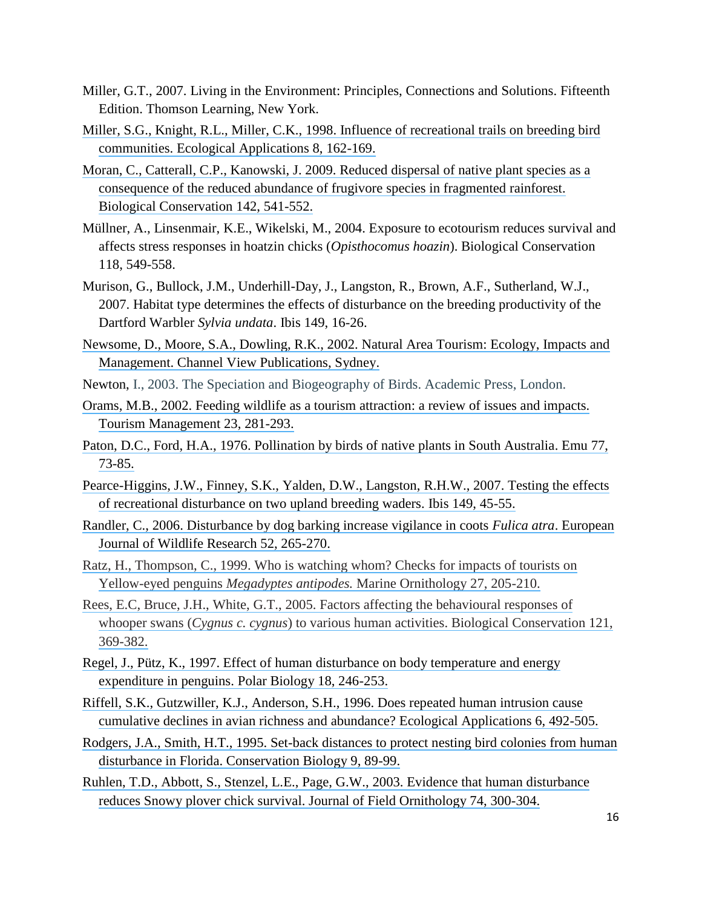- Miller, G.T., 2007. Living in the Environment: Principles, Connections and Solutions. Fifteenth Edition. Thomson Learning, New York.
- [Miller, S.G., Knight, R.L., Miller, C.K., 1998. Influence of recreational trails on breeding bird](https://www.researchgate.net/publication/270399340_Influence_of_Recreational_Trails_on_Breeding_Bird_Communities?el=1_x_8&enrichId=rgreq-0307f78f61e3183d478f1b9b25fcac13-XXX&enrichSource=Y292ZXJQYWdlOzUxMTkwNzcxO0FTOjk3NzQxNDcyNTM0NTMzQDE0MDAzMTQ3OTEyMzY=)  [communities. Ecological Applications 8, 162-169.](https://www.researchgate.net/publication/270399340_Influence_of_Recreational_Trails_on_Breeding_Bird_Communities?el=1_x_8&enrichId=rgreq-0307f78f61e3183d478f1b9b25fcac13-XXX&enrichSource=Y292ZXJQYWdlOzUxMTkwNzcxO0FTOjk3NzQxNDcyNTM0NTMzQDE0MDAzMTQ3OTEyMzY=)
- [Moran, C., Catterall, C.P., Kanowski, J. 2009. Reduced dispersal of native plant species as a](https://www.researchgate.net/publication/223936050_Reduced_dispersal_of_native_plant_species_as_a_consequence_of_the_reduced_abundance_of_frugivore_species_in_fragmented_rainforest?el=1_x_8&enrichId=rgreq-0307f78f61e3183d478f1b9b25fcac13-XXX&enrichSource=Y292ZXJQYWdlOzUxMTkwNzcxO0FTOjk3NzQxNDcyNTM0NTMzQDE0MDAzMTQ3OTEyMzY=) [consequence of the reduced abundance of frugivore](https://www.researchgate.net/publication/223936050_Reduced_dispersal_of_native_plant_species_as_a_consequence_of_the_reduced_abundance_of_frugivore_species_in_fragmented_rainforest?el=1_x_8&enrichId=rgreq-0307f78f61e3183d478f1b9b25fcac13-XXX&enrichSource=Y292ZXJQYWdlOzUxMTkwNzcxO0FTOjk3NzQxNDcyNTM0NTMzQDE0MDAzMTQ3OTEyMzY=) species in fragmented rainforest. [Biological Conservation 142, 541-552.](https://www.researchgate.net/publication/223936050_Reduced_dispersal_of_native_plant_species_as_a_consequence_of_the_reduced_abundance_of_frugivore_species_in_fragmented_rainforest?el=1_x_8&enrichId=rgreq-0307f78f61e3183d478f1b9b25fcac13-XXX&enrichSource=Y292ZXJQYWdlOzUxMTkwNzcxO0FTOjk3NzQxNDcyNTM0NTMzQDE0MDAzMTQ3OTEyMzY=)
- Müllner, A., Linsenmair, K.E., Wikelski, M., 2004. Exposure to ecotourism reduces survival and affects stress responses in hoatzin chicks (*Opisthocomus hoazin*). Biological Conservation 118, 549-558.
- Murison, G., Bullock, J.M., Underhill-Day, J., Langston, R., Brown, A.F., Sutherland, W.J., 2007. Habitat type determines the effects of disturbance on the breeding productivity of the Dartford Warbler *Sylvia undata*. Ibis 149, 16-26.
- [Newsome, D., Moore, S.A., Dowling, R.K., 2002. Natural Area Tourism: Ecology, Impacts and](https://www.researchgate.net/publication/44845216_Natural_area_tourism_Ecology_impacts_and_management?el=1_x_8&enrichId=rgreq-0307f78f61e3183d478f1b9b25fcac13-XXX&enrichSource=Y292ZXJQYWdlOzUxMTkwNzcxO0FTOjk3NzQxNDcyNTM0NTMzQDE0MDAzMTQ3OTEyMzY=) [Management. Channel View Publications, Sydney.](https://www.researchgate.net/publication/44845216_Natural_area_tourism_Ecology_impacts_and_management?el=1_x_8&enrichId=rgreq-0307f78f61e3183d478f1b9b25fcac13-XXX&enrichSource=Y292ZXJQYWdlOzUxMTkwNzcxO0FTOjk3NzQxNDcyNTM0NTMzQDE0MDAzMTQ3OTEyMzY=)
- Newton, I., 2003. The Speciation and Biogeography of Birds. Academic Press, London.
- Orams, M.B., 2002. Feeding wildlife [as a tourism attraction: a review of issues and impacts.](https://www.researchgate.net/publication/223378778_Feeding_wildlife_as_a_tourism_attraction_A_review_of_issues_and_impacts?el=1_x_8&enrichId=rgreq-0307f78f61e3183d478f1b9b25fcac13-XXX&enrichSource=Y292ZXJQYWdlOzUxMTkwNzcxO0FTOjk3NzQxNDcyNTM0NTMzQDE0MDAzMTQ3OTEyMzY=) [Tourism Management 23, 281-293.](https://www.researchgate.net/publication/223378778_Feeding_wildlife_as_a_tourism_attraction_A_review_of_issues_and_impacts?el=1_x_8&enrichId=rgreq-0307f78f61e3183d478f1b9b25fcac13-XXX&enrichSource=Y292ZXJQYWdlOzUxMTkwNzcxO0FTOjk3NzQxNDcyNTM0NTMzQDE0MDAzMTQ3OTEyMzY=)
- [Paton, D.C., Ford, H.A., 1976. Pollination by birds of native plants in South Australia.](https://www.researchgate.net/publication/236887567_Pollination_by_birds_of_native_plants_in_South_Australia?el=1_x_8&enrichId=rgreq-0307f78f61e3183d478f1b9b25fcac13-XXX&enrichSource=Y292ZXJQYWdlOzUxMTkwNzcxO0FTOjk3NzQxNDcyNTM0NTMzQDE0MDAzMTQ3OTEyMzY=) Emu 77, [73-85.](https://www.researchgate.net/publication/236887567_Pollination_by_birds_of_native_plants_in_South_Australia?el=1_x_8&enrichId=rgreq-0307f78f61e3183d478f1b9b25fcac13-XXX&enrichSource=Y292ZXJQYWdlOzUxMTkwNzcxO0FTOjk3NzQxNDcyNTM0NTMzQDE0MDAzMTQ3OTEyMzY=)
- [Pearce-Higgins, J.W., Finney, S.K., Yalden, D.W., Langston, R.H.W., 2007. Testing the effects](https://www.researchgate.net/publication/227703741_Testing_the_effects_of_recreational_disturbance_on_two_upland_breeding_waders?el=1_x_8&enrichId=rgreq-0307f78f61e3183d478f1b9b25fcac13-XXX&enrichSource=Y292ZXJQYWdlOzUxMTkwNzcxO0FTOjk3NzQxNDcyNTM0NTMzQDE0MDAzMTQ3OTEyMzY=)  [of recreational disturbance on two upland breeding waders. Ibis 149, 45-55.](https://www.researchgate.net/publication/227703741_Testing_the_effects_of_recreational_disturbance_on_two_upland_breeding_waders?el=1_x_8&enrichId=rgreq-0307f78f61e3183d478f1b9b25fcac13-XXX&enrichSource=Y292ZXJQYWdlOzUxMTkwNzcxO0FTOjk3NzQxNDcyNTM0NTMzQDE0MDAzMTQ3OTEyMzY=)
- [Randler, C., 2006. Disturbance by dog barking increase vigilance in coots](https://www.researchgate.net/publication/225763381_Disturbances_by_dog_barking_increase_vigilance_in_coots_Fulica_atra?el=1_x_8&enrichId=rgreq-0307f78f61e3183d478f1b9b25fcac13-XXX&enrichSource=Y292ZXJQYWdlOzUxMTkwNzcxO0FTOjk3NzQxNDcyNTM0NTMzQDE0MDAzMTQ3OTEyMzY=) *Fulica atra*. European [Journal of Wildlife Research 52, 265-270.](https://www.researchgate.net/publication/225763381_Disturbances_by_dog_barking_increase_vigilance_in_coots_Fulica_atra?el=1_x_8&enrichId=rgreq-0307f78f61e3183d478f1b9b25fcac13-XXX&enrichSource=Y292ZXJQYWdlOzUxMTkwNzcxO0FTOjk3NzQxNDcyNTM0NTMzQDE0MDAzMTQ3OTEyMzY=)
- [Ratz, H., Thompson, C., 1999. Who is watching whom? Checks for impacts of tourists on](https://www.researchgate.net/publication/231178458_Who_is_watching_whom_Checks_for_impacts_of_tourists_on_Yellow-eyed_Penguins_Megadyptes_antipodes?el=1_x_8&enrichId=rgreq-0307f78f61e3183d478f1b9b25fcac13-XXX&enrichSource=Y292ZXJQYWdlOzUxMTkwNzcxO0FTOjk3NzQxNDcyNTM0NTMzQDE0MDAzMTQ3OTEyMzY=)  Yellow-eyed penguins *[Megadyptes antipodes.](https://www.researchgate.net/publication/231178458_Who_is_watching_whom_Checks_for_impacts_of_tourists_on_Yellow-eyed_Penguins_Megadyptes_antipodes?el=1_x_8&enrichId=rgreq-0307f78f61e3183d478f1b9b25fcac13-XXX&enrichSource=Y292ZXJQYWdlOzUxMTkwNzcxO0FTOjk3NzQxNDcyNTM0NTMzQDE0MDAzMTQ3OTEyMzY=)* Marine Ornithology 27, 205-210.
- [Rees, E.C, Bruce, J.H., White, G.T., 2005. Factors affecting the behavioural responses of](https://www.researchgate.net/publication/233413562_Factors_affecting_the_behavioural_responses_of_whooper_swans_Cygnus_c_cygnus_to_various_human_activities?el=1_x_8&enrichId=rgreq-0307f78f61e3183d478f1b9b25fcac13-XXX&enrichSource=Y292ZXJQYWdlOzUxMTkwNzcxO0FTOjk3NzQxNDcyNTM0NTMzQDE0MDAzMTQ3OTEyMzY=)  whooper swans (*Cygnus c. cygnus*[\) to various human activities. Biological Conservation 121,](https://www.researchgate.net/publication/233413562_Factors_affecting_the_behavioural_responses_of_whooper_swans_Cygnus_c_cygnus_to_various_human_activities?el=1_x_8&enrichId=rgreq-0307f78f61e3183d478f1b9b25fcac13-XXX&enrichSource=Y292ZXJQYWdlOzUxMTkwNzcxO0FTOjk3NzQxNDcyNTM0NTMzQDE0MDAzMTQ3OTEyMzY=)  [369-382.](https://www.researchgate.net/publication/233413562_Factors_affecting_the_behavioural_responses_of_whooper_swans_Cygnus_c_cygnus_to_various_human_activities?el=1_x_8&enrichId=rgreq-0307f78f61e3183d478f1b9b25fcac13-XXX&enrichSource=Y292ZXJQYWdlOzUxMTkwNzcxO0FTOjk3NzQxNDcyNTM0NTMzQDE0MDAzMTQ3OTEyMzY=)
- [Regel, J., Pütz, K., 1997. Effect of human disturbance on body temperature and energy](https://www.researchgate.net/publication/225898698_Effect_of_human_disturbance_on_body_temperature_and_energy_expenditure_in_penguins?el=1_x_8&enrichId=rgreq-0307f78f61e3183d478f1b9b25fcac13-XXX&enrichSource=Y292ZXJQYWdlOzUxMTkwNzcxO0FTOjk3NzQxNDcyNTM0NTMzQDE0MDAzMTQ3OTEyMzY=)  [expenditure in penguins. Polar Biology 18, 246-253.](https://www.researchgate.net/publication/225898698_Effect_of_human_disturbance_on_body_temperature_and_energy_expenditure_in_penguins?el=1_x_8&enrichId=rgreq-0307f78f61e3183d478f1b9b25fcac13-XXX&enrichSource=Y292ZXJQYWdlOzUxMTkwNzcxO0FTOjk3NzQxNDcyNTM0NTMzQDE0MDAzMTQ3OTEyMzY=)
- [Riffell, S.K., Gutzwiller, K.J., Anderson, S.H., 1996. Does repeated human intrusion cause](https://www.researchgate.net/publication/271760168_Does_Repeated_Human_Intrusion_Cause_Cumulative_Declines_in_Avian_Richness_and_Abundance?el=1_x_8&enrichId=rgreq-0307f78f61e3183d478f1b9b25fcac13-XXX&enrichSource=Y292ZXJQYWdlOzUxMTkwNzcxO0FTOjk3NzQxNDcyNTM0NTMzQDE0MDAzMTQ3OTEyMzY=)  [cumulative declines in avian richness and abundance? Ecological Applications 6, 492-505.](https://www.researchgate.net/publication/271760168_Does_Repeated_Human_Intrusion_Cause_Cumulative_Declines_in_Avian_Richness_and_Abundance?el=1_x_8&enrichId=rgreq-0307f78f61e3183d478f1b9b25fcac13-XXX&enrichSource=Y292ZXJQYWdlOzUxMTkwNzcxO0FTOjk3NzQxNDcyNTM0NTMzQDE0MDAzMTQ3OTEyMzY=)
- [Rodgers, J.A., Smith, H.T., 1995. Set-back distances to protect nesting bird colonies from human](https://www.researchgate.net/publication/249431735_Set-Back_Distances_to_Protect_Nesting_Bird_Colonies_from_Human_Disturbance_in_Florida?el=1_x_8&enrichId=rgreq-0307f78f61e3183d478f1b9b25fcac13-XXX&enrichSource=Y292ZXJQYWdlOzUxMTkwNzcxO0FTOjk3NzQxNDcyNTM0NTMzQDE0MDAzMTQ3OTEyMzY=)  [disturbance in Florida. Conservation Biology 9, 89-99.](https://www.researchgate.net/publication/249431735_Set-Back_Distances_to_Protect_Nesting_Bird_Colonies_from_Human_Disturbance_in_Florida?el=1_x_8&enrichId=rgreq-0307f78f61e3183d478f1b9b25fcac13-XXX&enrichSource=Y292ZXJQYWdlOzUxMTkwNzcxO0FTOjk3NzQxNDcyNTM0NTMzQDE0MDAzMTQ3OTEyMzY=)
- [Ruhlen, T.D., Abbott, S., Stenzel, L.E., Page, G.W., 2003. Evidence that human disturbance](https://www.researchgate.net/publication/237257792_Evidence_that_human_disturbance_reduces_Snowy_Plover_chick_survival?el=1_x_8&enrichId=rgreq-0307f78f61e3183d478f1b9b25fcac13-XXX&enrichSource=Y292ZXJQYWdlOzUxMTkwNzcxO0FTOjk3NzQxNDcyNTM0NTMzQDE0MDAzMTQ3OTEyMzY=) [reduces Snowy plover chick survival. Journal of Field Ornithology 74, 300-304.](https://www.researchgate.net/publication/237257792_Evidence_that_human_disturbance_reduces_Snowy_Plover_chick_survival?el=1_x_8&enrichId=rgreq-0307f78f61e3183d478f1b9b25fcac13-XXX&enrichSource=Y292ZXJQYWdlOzUxMTkwNzcxO0FTOjk3NzQxNDcyNTM0NTMzQDE0MDAzMTQ3OTEyMzY=)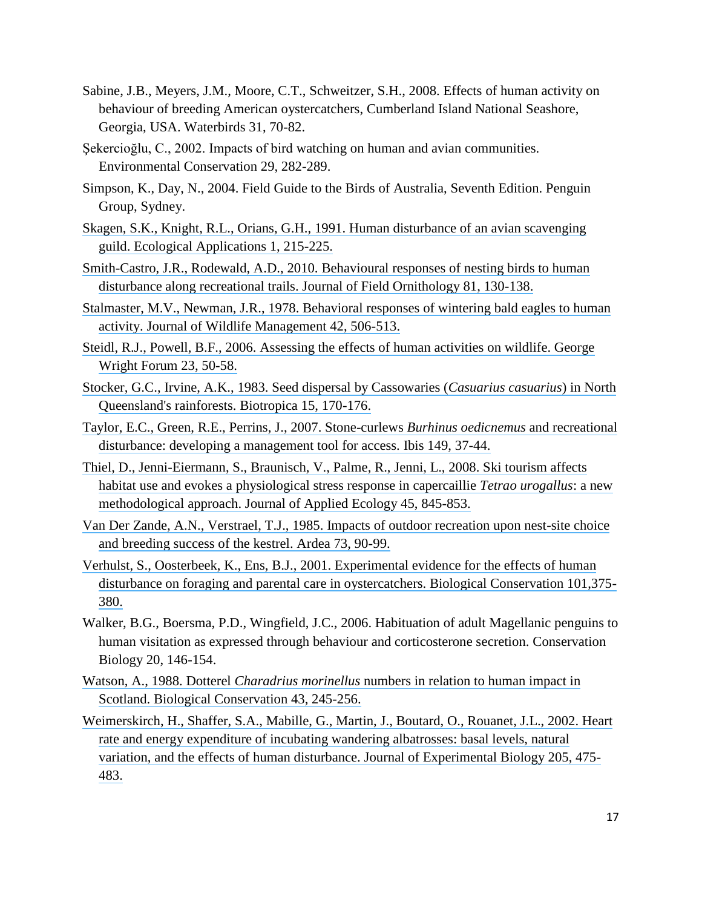- Sabine, J.B., Meyers, J.M., Moore, C.T., Schweitzer, S.H., 2008. Effects of human activity on behaviour of breeding American oystercatchers, Cumberland Island National Seashore, Georgia, USA. Waterbirds 31, 70-82.
- Şekercioğlu, C., 2002. Impacts of bird watching on human and avian communities. Environmental Conservation 29, 282-289.
- Simpson, K., Day, N., 2004. Field Guide to the Birds of Australia, Seventh Edition. Penguin Group, Sydney.
- Skagen, S.K., Knight, R.L., Orians, G.H., [1991. Human disturbance of an avian scavenging](https://www.researchgate.net/publication/271804732_Human_Disturbance_of_an_Avian_Scavenging_Guild?el=1_x_8&enrichId=rgreq-0307f78f61e3183d478f1b9b25fcac13-XXX&enrichSource=Y292ZXJQYWdlOzUxMTkwNzcxO0FTOjk3NzQxNDcyNTM0NTMzQDE0MDAzMTQ3OTEyMzY=)  [guild. Ecological Applications 1, 215-225.](https://www.researchgate.net/publication/271804732_Human_Disturbance_of_an_Avian_Scavenging_Guild?el=1_x_8&enrichId=rgreq-0307f78f61e3183d478f1b9b25fcac13-XXX&enrichSource=Y292ZXJQYWdlOzUxMTkwNzcxO0FTOjk3NzQxNDcyNTM0NTMzQDE0MDAzMTQ3OTEyMzY=)
- [Smith-Castro, J.R., Rodewald, A.D., 2010. Behavioural](https://www.researchgate.net/publication/229870262_Behavioral_responses_of_nesting_birds_to_human_disturbance_along_recreational_trails?el=1_x_8&enrichId=rgreq-0307f78f61e3183d478f1b9b25fcac13-XXX&enrichSource=Y292ZXJQYWdlOzUxMTkwNzcxO0FTOjk3NzQxNDcyNTM0NTMzQDE0MDAzMTQ3OTEyMzY=) responses of nesting birds to human [disturbance along recreational trails. Journal of Field Ornithology 81, 130-138.](https://www.researchgate.net/publication/229870262_Behavioral_responses_of_nesting_birds_to_human_disturbance_along_recreational_trails?el=1_x_8&enrichId=rgreq-0307f78f61e3183d478f1b9b25fcac13-XXX&enrichSource=Y292ZXJQYWdlOzUxMTkwNzcxO0FTOjk3NzQxNDcyNTM0NTMzQDE0MDAzMTQ3OTEyMzY=)
- [Stalmaster, M.V., Newman, J.R., 1978. Behavioral responses of](https://www.researchgate.net/publication/245583338_Behavioral_Responses_of_Wintering_Bald_Eagles_to_Human_Activity?el=1_x_8&enrichId=rgreq-0307f78f61e3183d478f1b9b25fcac13-XXX&enrichSource=Y292ZXJQYWdlOzUxMTkwNzcxO0FTOjk3NzQxNDcyNTM0NTMzQDE0MDAzMTQ3OTEyMzY=) wintering bald eagles to human [activity. Journal of Wildlife Management 42, 506-513.](https://www.researchgate.net/publication/245583338_Behavioral_Responses_of_Wintering_Bald_Eagles_to_Human_Activity?el=1_x_8&enrichId=rgreq-0307f78f61e3183d478f1b9b25fcac13-XXX&enrichSource=Y292ZXJQYWdlOzUxMTkwNzcxO0FTOjk3NzQxNDcyNTM0NTMzQDE0MDAzMTQ3OTEyMzY=)
- [Steidl, R.J., Powell, B.F., 2006. Assessing the effects of human activities on wildlife. George](https://www.researchgate.net/publication/285725027_Assessing_the_effects_of_human_activities_on_wildlife?el=1_x_8&enrichId=rgreq-0307f78f61e3183d478f1b9b25fcac13-XXX&enrichSource=Y292ZXJQYWdlOzUxMTkwNzcxO0FTOjk3NzQxNDcyNTM0NTMzQDE0MDAzMTQ3OTEyMzY=)  [Wright Forum 23, 50-58.](https://www.researchgate.net/publication/285725027_Assessing_the_effects_of_human_activities_on_wildlife?el=1_x_8&enrichId=rgreq-0307f78f61e3183d478f1b9b25fcac13-XXX&enrichSource=Y292ZXJQYWdlOzUxMTkwNzcxO0FTOjk3NzQxNDcyNTM0NTMzQDE0MDAzMTQ3OTEyMzY=)
- [Stocker, G.C., Irvine, A.K., 1983. Seed dispersal by Cassowaries \(](https://www.researchgate.net/publication/272593493_Seed_Dispersal_by_Cassowaries_Casuarius_casuarius_in_North_Queensland)*Casuarius casuarius*) in North [Queensland's rainforests. Biotropica 15, 170-176.](https://www.researchgate.net/publication/272593493_Seed_Dispersal_by_Cassowaries_Casuarius_casuarius_in_North_Queensland)
- [Taylor, E.C., Green, R.E., Perrins, J., 2007. Stone-curlews](https://www.researchgate.net/publication/227695290_Stone-curlews_Burhinus_oedicnemus_and_recreational_disturbance_Developing_a_management_tool_for_access?el=1_x_8&enrichId=rgreq-0307f78f61e3183d478f1b9b25fcac13-XXX&enrichSource=Y292ZXJQYWdlOzUxMTkwNzcxO0FTOjk3NzQxNDcyNTM0NTMzQDE0MDAzMTQ3OTEyMzY=) *Burhinus oedicnemus* and recreational [disturbance: developing a management](https://www.researchgate.net/publication/227695290_Stone-curlews_Burhinus_oedicnemus_and_recreational_disturbance_Developing_a_management_tool_for_access?el=1_x_8&enrichId=rgreq-0307f78f61e3183d478f1b9b25fcac13-XXX&enrichSource=Y292ZXJQYWdlOzUxMTkwNzcxO0FTOjk3NzQxNDcyNTM0NTMzQDE0MDAzMTQ3OTEyMzY=) tool for access. Ibis 149, 37-44.
- [Thiel, D., Jenni-Eiermann, S., Braunisch, V., Palme, R., Jenni, L., 2008. Ski tourism affects](https://www.researchgate.net/publication/227993692_Ski_tourism_affects_habitat_use_and_evokes_a_physiological_stress_response_in_capercaillie_Tetrao_urogallus_A_new_methodological_approach?el=1_x_8&enrichId=rgreq-0307f78f61e3183d478f1b9b25fcac13-XXX&enrichSource=Y292ZXJQYWdlOzUxMTkwNzcxO0FTOjk3NzQxNDcyNTM0NTMzQDE0MDAzMTQ3OTEyMzY=) [habitat use and evokes a physiological stress response in capercaillie](https://www.researchgate.net/publication/227993692_Ski_tourism_affects_habitat_use_and_evokes_a_physiological_stress_response_in_capercaillie_Tetrao_urogallus_A_new_methodological_approach?el=1_x_8&enrichId=rgreq-0307f78f61e3183d478f1b9b25fcac13-XXX&enrichSource=Y292ZXJQYWdlOzUxMTkwNzcxO0FTOjk3NzQxNDcyNTM0NTMzQDE0MDAzMTQ3OTEyMzY=) *Tetrao urogallus*: a new [methodological approach. Journal of Applied Ecology 45, 845-853.](https://www.researchgate.net/publication/227993692_Ski_tourism_affects_habitat_use_and_evokes_a_physiological_stress_response_in_capercaillie_Tetrao_urogallus_A_new_methodological_approach?el=1_x_8&enrichId=rgreq-0307f78f61e3183d478f1b9b25fcac13-XXX&enrichSource=Y292ZXJQYWdlOzUxMTkwNzcxO0FTOjk3NzQxNDcyNTM0NTMzQDE0MDAzMTQ3OTEyMzY=)
- [Van Der Zande, A.N., Verstrael, T.J., 1985. Impacts of outdoor recreation upon nest-site choice](https://www.researchgate.net/publication/266570225_Impacts_of_outdoor_recreation_upon_nest-site_choice_and_breeding_success_of_the_kestrel_Falco_tinnunculus?el=1_x_8&enrichId=rgreq-0307f78f61e3183d478f1b9b25fcac13-XXX&enrichSource=Y292ZXJQYWdlOzUxMTkwNzcxO0FTOjk3NzQxNDcyNTM0NTMzQDE0MDAzMTQ3OTEyMzY=)  [and breeding success of the kestrel. Ardea 73, 90-99.](https://www.researchgate.net/publication/266570225_Impacts_of_outdoor_recreation_upon_nest-site_choice_and_breeding_success_of_the_kestrel_Falco_tinnunculus?el=1_x_8&enrichId=rgreq-0307f78f61e3183d478f1b9b25fcac13-XXX&enrichSource=Y292ZXJQYWdlOzUxMTkwNzcxO0FTOjk3NzQxNDcyNTM0NTMzQDE0MDAzMTQ3OTEyMzY=)
- [Verhulst, S., Oosterbeek, K., Ens, B.J., 2001. Experimental evidence for the effects of human](https://www.researchgate.net/publication/222669915_Experimental_evidence_of_effects_of_human_disturbance_on_foraging_and_parental_care_in_oystercatchers?el=1_x_8&enrichId=rgreq-0307f78f61e3183d478f1b9b25fcac13-XXX&enrichSource=Y292ZXJQYWdlOzUxMTkwNzcxO0FTOjk3NzQxNDcyNTM0NTMzQDE0MDAzMTQ3OTEyMzY=) [disturbance on foraging and parental care in oystercatchers. Biological Conservation 101,375-](https://www.researchgate.net/publication/222669915_Experimental_evidence_of_effects_of_human_disturbance_on_foraging_and_parental_care_in_oystercatchers?el=1_x_8&enrichId=rgreq-0307f78f61e3183d478f1b9b25fcac13-XXX&enrichSource=Y292ZXJQYWdlOzUxMTkwNzcxO0FTOjk3NzQxNDcyNTM0NTMzQDE0MDAzMTQ3OTEyMzY=) [380.](https://www.researchgate.net/publication/222669915_Experimental_evidence_of_effects_of_human_disturbance_on_foraging_and_parental_care_in_oystercatchers?el=1_x_8&enrichId=rgreq-0307f78f61e3183d478f1b9b25fcac13-XXX&enrichSource=Y292ZXJQYWdlOzUxMTkwNzcxO0FTOjk3NzQxNDcyNTM0NTMzQDE0MDAzMTQ3OTEyMzY=)
- Walker, B.G., Boersma, P.D., Wingfield, J.C., 2006. Habituation of adult Magellanic penguins to human visitation as expressed through behaviour and corticosterone secretion. Conservation Biology 20, 146-154.
- Watson, A., 1988. Dotterel *Charadrius morinellus* [numbers in relation to human impact in](https://www.researchgate.net/publication/223367822_Dotterel_Charadrius_morinellus_numbers_in_relation_to_human_impact_in_Scotland?el=1_x_8&enrichId=rgreq-0307f78f61e3183d478f1b9b25fcac13-XXX&enrichSource=Y292ZXJQYWdlOzUxMTkwNzcxO0FTOjk3NzQxNDcyNTM0NTMzQDE0MDAzMTQ3OTEyMzY=)  [Scotland. Biological Conservation 43, 245-256.](https://www.researchgate.net/publication/223367822_Dotterel_Charadrius_morinellus_numbers_in_relation_to_human_impact_in_Scotland?el=1_x_8&enrichId=rgreq-0307f78f61e3183d478f1b9b25fcac13-XXX&enrichSource=Y292ZXJQYWdlOzUxMTkwNzcxO0FTOjk3NzQxNDcyNTM0NTMzQDE0MDAzMTQ3OTEyMzY=)
- [Weimerskirch, H., Shaffer, S.A., Mabille, G., Martin, J., Boutard, O., Rouanet, J.L., 2002. Heart](https://www.researchgate.net/publication/11469245_Heart_rate_and_energy_expenditure_of_incubating_Wandering_Albatrosses_basal_levels_natural_variation_and_the_effects_of_human_disturbance?el=1_x_8&enrichId=rgreq-0307f78f61e3183d478f1b9b25fcac13-XXX&enrichSource=Y292ZXJQYWdlOzUxMTkwNzcxO0FTOjk3NzQxNDcyNTM0NTMzQDE0MDAzMTQ3OTEyMzY=)  [rate and energy expenditure of incubating wandering albatrosses: basal levels, natural](https://www.researchgate.net/publication/11469245_Heart_rate_and_energy_expenditure_of_incubating_Wandering_Albatrosses_basal_levels_natural_variation_and_the_effects_of_human_disturbance?el=1_x_8&enrichId=rgreq-0307f78f61e3183d478f1b9b25fcac13-XXX&enrichSource=Y292ZXJQYWdlOzUxMTkwNzcxO0FTOjk3NzQxNDcyNTM0NTMzQDE0MDAzMTQ3OTEyMzY=)  [variation, and the effects of human disturbance. Journal of Experimental Biology 205, 475-](https://www.researchgate.net/publication/11469245_Heart_rate_and_energy_expenditure_of_incubating_Wandering_Albatrosses_basal_levels_natural_variation_and_the_effects_of_human_disturbance?el=1_x_8&enrichId=rgreq-0307f78f61e3183d478f1b9b25fcac13-XXX&enrichSource=Y292ZXJQYWdlOzUxMTkwNzcxO0FTOjk3NzQxNDcyNTM0NTMzQDE0MDAzMTQ3OTEyMzY=) [483.](https://www.researchgate.net/publication/11469245_Heart_rate_and_energy_expenditure_of_incubating_Wandering_Albatrosses_basal_levels_natural_variation_and_the_effects_of_human_disturbance?el=1_x_8&enrichId=rgreq-0307f78f61e3183d478f1b9b25fcac13-XXX&enrichSource=Y292ZXJQYWdlOzUxMTkwNzcxO0FTOjk3NzQxNDcyNTM0NTMzQDE0MDAzMTQ3OTEyMzY=)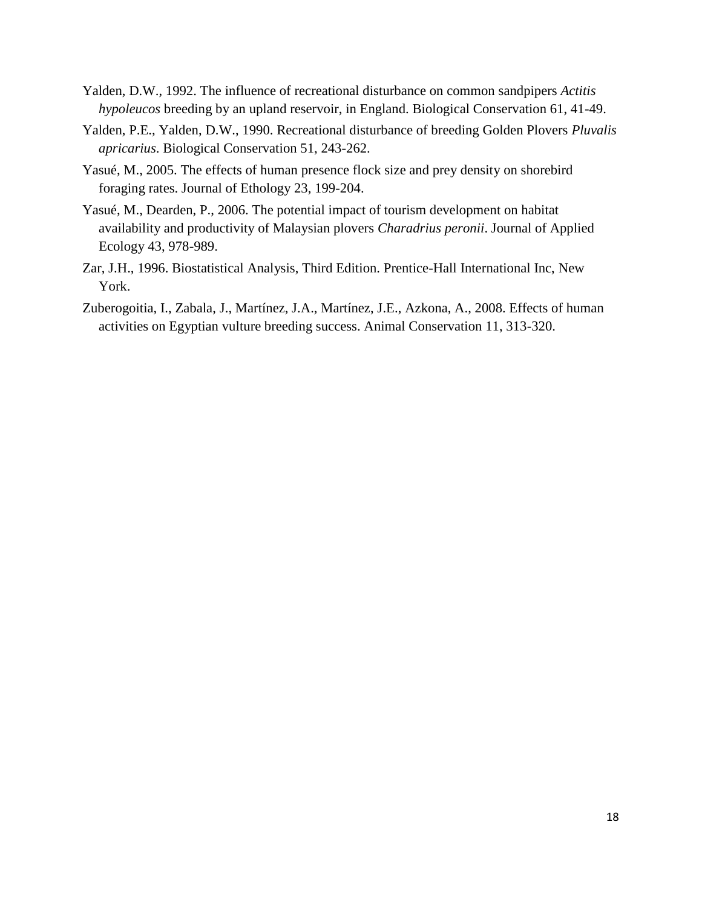- Yalden, D.W., 1992. The influence of recreational disturbance on common sandpipers *Actitis hypoleucos* breeding by an upland reservoir, in England. Biological Conservation 61, 41-49.
- Yalden, P.E., Yalden, D.W., 1990. Recreational disturbance of breeding Golden Plovers *Pluvalis apricarius*. Biological Conservation 51, 243-262.
- Yasué, M., 2005. The effects of human presence flock size and prey density on shorebird foraging rates. Journal of Ethology 23, 199-204.
- Yasué, M., Dearden, P., 2006. The potential impact of tourism development on habitat availability and productivity of Malaysian plovers *Charadrius peronii*. Journal of Applied Ecology 43, 978-989.
- Zar, J.H., 1996. Biostatistical Analysis, Third Edition. Prentice-Hall International Inc, New York.
- Zuberogoitia, I., Zabala, J., Martínez, J.A., Martínez, J.E., Azkona, A., 2008. Effects of human activities on Egyptian vulture breeding success. Animal Conservation 11, 313-320.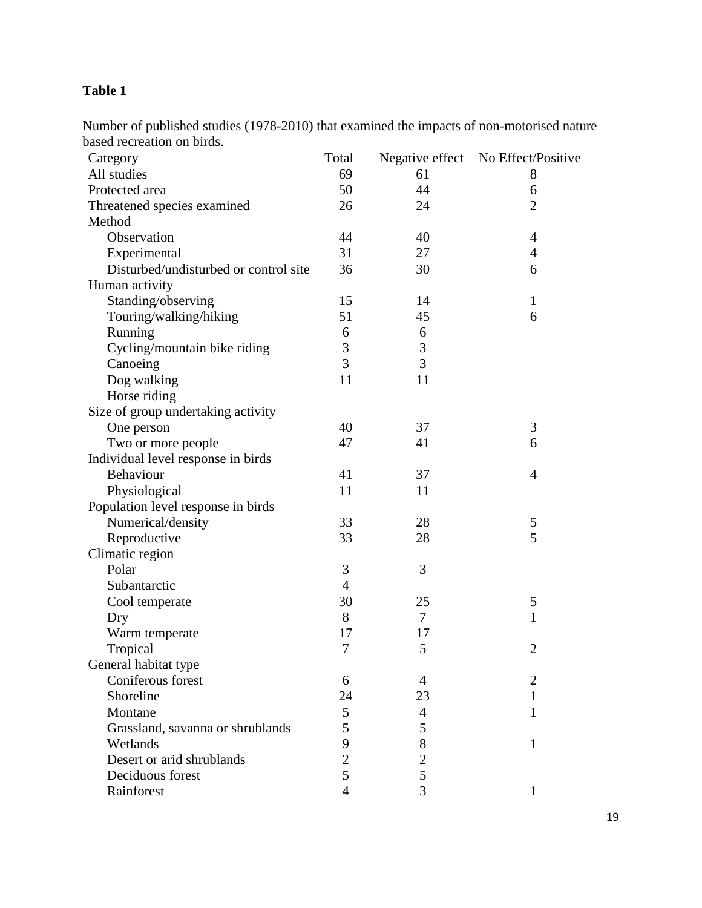## **Table 1**

Number of published studies (1978-2010) that examined the impacts of non-motorised nature based recreation on birds.

| Category                              | Total          | Negative effect | No Effect/Positive |
|---------------------------------------|----------------|-----------------|--------------------|
| All studies                           | 69             | 61              | 8                  |
| Protected area                        | 50             | 44              | 6                  |
| Threatened species examined           | 26             | 24              | $\overline{2}$     |
| Method                                |                |                 |                    |
| Observation                           | 44             | 40              | $\overline{4}$     |
| Experimental                          | 31             | 27              | $\overline{4}$     |
| Disturbed/undisturbed or control site | 36             | 30              | 6                  |
| Human activity                        |                |                 |                    |
| Standing/observing                    | 15             | 14              | $\mathbf{1}$       |
| Touring/walking/hiking                | 51             | 45              | 6                  |
| Running                               | 6              | 6               |                    |
| Cycling/mountain bike riding          | 3              | 3               |                    |
| Canoeing                              | 3              | 3               |                    |
| Dog walking                           | 11             | 11              |                    |
| Horse riding                          |                |                 |                    |
| Size of group undertaking activity    |                |                 |                    |
| One person                            | 40             | 37              | 3                  |
| Two or more people                    | 47             | 41              | 6                  |
| Individual level response in birds    |                |                 |                    |
| Behaviour                             | 41             | 37              | $\overline{4}$     |
| Physiological                         | 11             | 11              |                    |
| Population level response in birds    |                |                 |                    |
| Numerical/density                     | 33             | 28              | 5                  |
| Reproductive                          | 33             | 28              | 5                  |
| Climatic region                       |                |                 |                    |
| Polar                                 | 3              | 3               |                    |
| Subantarctic                          | $\overline{4}$ |                 |                    |
| Cool temperate                        | 30             | 25              | 5                  |
| Dry                                   | 8              | 7               | 1                  |
| Warm temperate                        | 17             | 17              |                    |
| Tropical                              | 7              | 5               | $\overline{2}$     |
| General habitat type                  |                |                 |                    |
| Coniferous forest                     | 6              | 4               | $\overline{2}$     |
| Shoreline                             | 24             | 23              | 1                  |
| Montane                               | 5              | 4               | $\mathbf{1}$       |
| Grassland, savanna or shrublands      | 5              | 5               |                    |
| Wetlands                              | 9              | 8               | 1                  |
| Desert or arid shrublands             | $\overline{2}$ | $\overline{c}$  |                    |
| Deciduous forest                      | 5              | 5               |                    |
| Rainforest                            | $\overline{4}$ | 3               | 1                  |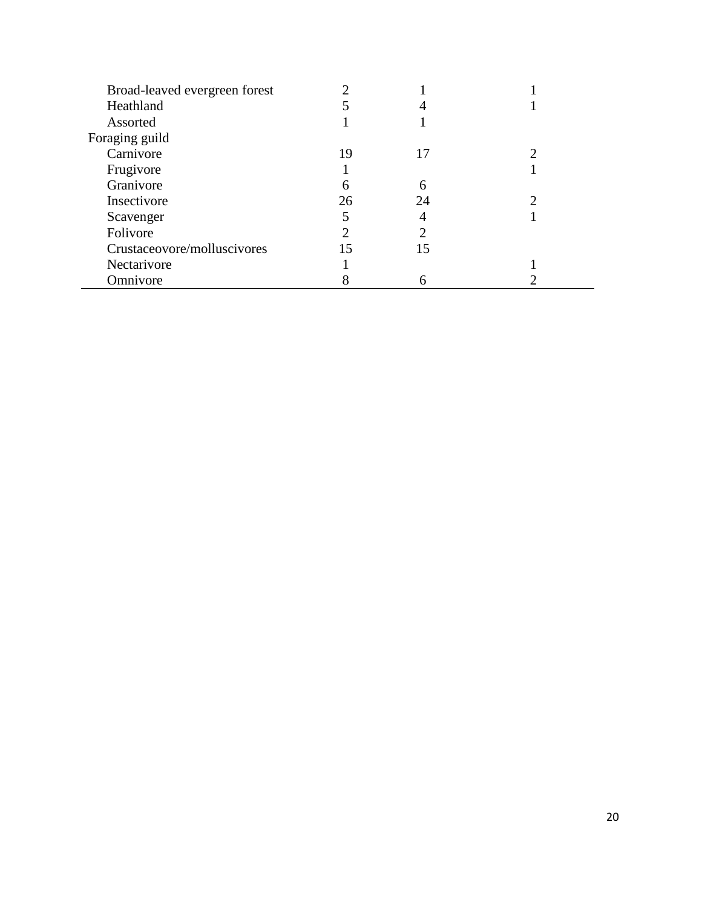| Broad-leaved evergreen forest |    |    |  |
|-------------------------------|----|----|--|
| Heathland                     |    |    |  |
| Assorted                      |    |    |  |
| Foraging guild                |    |    |  |
| Carnivore                     | 19 | 17 |  |
| Frugivore                     |    |    |  |
| Granivore                     | n  | 6  |  |
| Insectivore                   | 26 | 24 |  |
| Scavenger                     |    |    |  |
| Folivore                      |    |    |  |
| Crustaceovore/molluscivores   | 15 | 15 |  |
| Nectarivore                   |    |    |  |
| Omnivore                      |    | h  |  |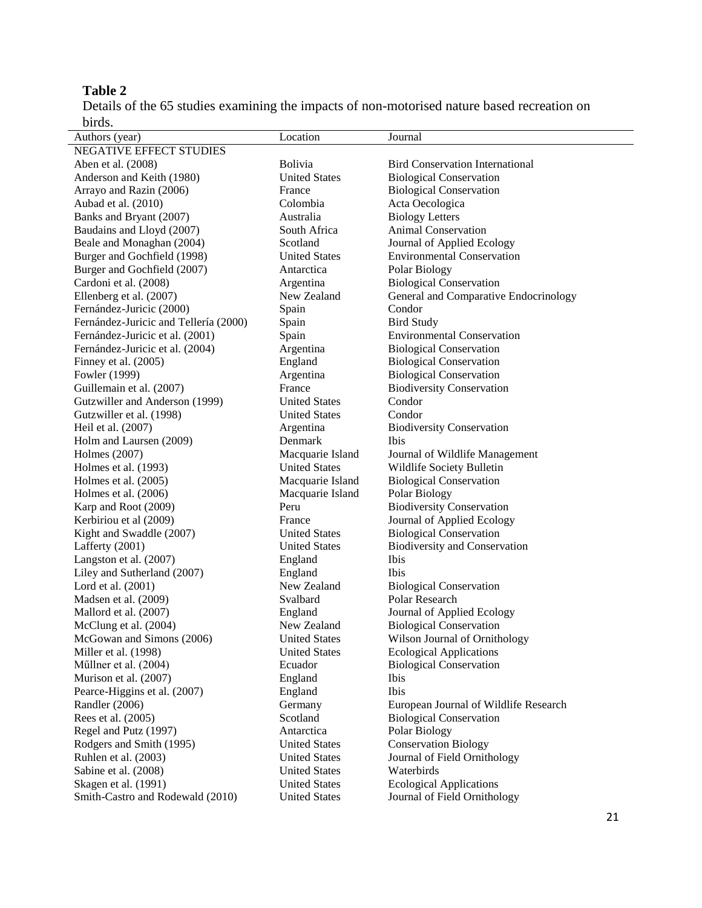## **Table 2**

Details of the 65 studies examining the impacts of non-motorised nature based recreation on birds.

| Authors (year)                        | Location             | Journal                                |
|---------------------------------------|----------------------|----------------------------------------|
| NEGATIVE EFFECT STUDIES               |                      |                                        |
| Aben et al. (2008)                    | <b>Bolivia</b>       | <b>Bird Conservation International</b> |
| Anderson and Keith (1980)             | <b>United States</b> | <b>Biological Conservation</b>         |
| Arrayo and Razin (2006)               | France               | <b>Biological Conservation</b>         |
| Aubad et al. (2010)                   | Colombia             | Acta Oecologica                        |
| Banks and Bryant (2007)               | Australia            | <b>Biology Letters</b>                 |
| Baudains and Lloyd (2007)             | South Africa         | Animal Conservation                    |
| Beale and Monaghan (2004)             | Scotland             | Journal of Applied Ecology             |
| Burger and Gochfield (1998)           | <b>United States</b> | <b>Environmental Conservation</b>      |
| Burger and Gochfield (2007)           | Antarctica           | Polar Biology                          |
| Cardoni et al. (2008)                 | Argentina            | <b>Biological Conservation</b>         |
| Ellenberg et al. (2007)               | New Zealand          | General and Comparative Endocrinology  |
| Fernández-Juricic (2000)              | Spain                | Condor                                 |
| Fernández-Juricic and Tellería (2000) | Spain                | <b>Bird Study</b>                      |
| Fernández-Juricic et al. (2001)       | Spain                | <b>Environmental Conservation</b>      |
| Fernández-Juricic et al. (2004)       | Argentina            | <b>Biological Conservation</b>         |
| Finney et al. (2005)                  | England              | <b>Biological Conservation</b>         |
| Fowler (1999)                         | Argentina            | <b>Biological Conservation</b>         |
| Guillemain et al. (2007)              | France               | <b>Biodiversity Conservation</b>       |
| Gutzwiller and Anderson (1999)        | <b>United States</b> | Condor                                 |
| Gutzwiller et al. (1998)              | <b>United States</b> | Condor                                 |
| Heil et al. (2007)                    | Argentina            | <b>Biodiversity Conservation</b>       |
| Holm and Laursen (2009)               | Denmark              | Ibis                                   |
| Holmes (2007)                         | Macquarie Island     | Journal of Wildlife Management         |
| Holmes et al. (1993)                  | <b>United States</b> | Wildlife Society Bulletin              |
| Holmes et al. (2005)                  | Macquarie Island     | <b>Biological Conservation</b>         |
| Holmes et al. $(2006)$                | Macquarie Island     | Polar Biology                          |
| Karp and Root (2009)                  | Peru                 | <b>Biodiversity Conservation</b>       |
| Kerbiriou et al (2009)                | France               | Journal of Applied Ecology             |
| Kight and Swaddle (2007)              | <b>United States</b> | <b>Biological Conservation</b>         |
| Lafferty (2001)                       | <b>United States</b> | <b>Biodiversity and Conservation</b>   |
| Langston et al. (2007)                | England              | Ibis                                   |
| Liley and Sutherland (2007)           | England              | Ibis                                   |
| Lord et al. (2001)                    | New Zealand          | <b>Biological Conservation</b>         |
| Madsen et al. (2009)                  | Svalbard             | Polar Research                         |
| Mallord et al. (2007)                 | England              | Journal of Applied Ecology             |
| McClung et al. (2004)                 | New Zealand          | <b>Biological Conservation</b>         |
| McGowan and Simons (2006)             | <b>United States</b> | Wilson Journal of Ornithology          |
| Miller et al. (1998)                  | <b>United States</b> | <b>Ecological Applications</b>         |
| Müllner et al. (2004)                 | Ecuador              | <b>Biological Conservation</b>         |
| Murison et al. (2007)                 | England              | Ibis                                   |
| Pearce-Higgins et al. (2007)          | England              | Ibis                                   |
| Randler (2006)                        | Germany              | European Journal of Wildlife Research  |
| Rees et al. (2005)                    | Scotland             | <b>Biological Conservation</b>         |
| Regel and Putz (1997)                 | Antarctica           | Polar Biology                          |
| Rodgers and Smith (1995)              | <b>United States</b> | <b>Conservation Biology</b>            |
| Ruhlen et al. (2003)                  | <b>United States</b> | Journal of Field Ornithology           |
| Sabine et al. (2008)                  | <b>United States</b> | Waterbirds                             |
| Skagen et al. (1991)                  | <b>United States</b> | <b>Ecological Applications</b>         |
| Smith-Castro and Rodewald (2010)      | <b>United States</b> | Journal of Field Ornithology           |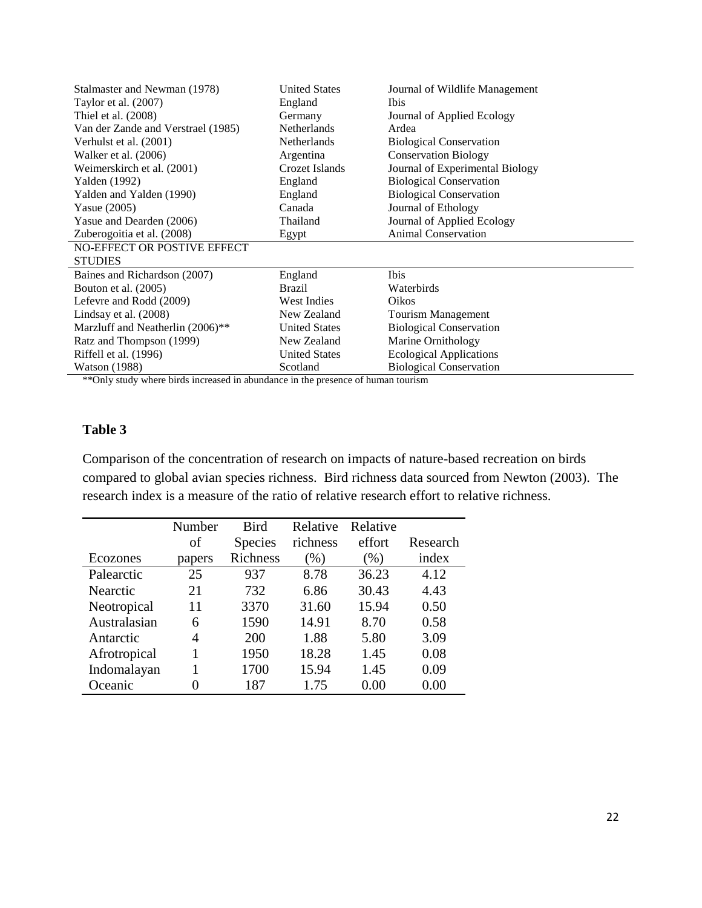| Stalmaster and Newman (1978)       | <b>United States</b> | Journal of Wildlife Management  |
|------------------------------------|----------------------|---------------------------------|
| Taylor et al. (2007)               | England              | <i>Ibis</i>                     |
| Thiel et al. (2008)                | Germany              | Journal of Applied Ecology      |
| Van der Zande and Verstrael (1985) | <b>Netherlands</b>   | Ardea                           |
| Verhulst et al. (2001)             | <b>Netherlands</b>   | <b>Biological Conservation</b>  |
| Walker et al. (2006)               | Argentina            | <b>Conservation Biology</b>     |
| Weimerskirch et al. (2001)         | Crozet Islands       | Journal of Experimental Biology |
| Yalden (1992)                      | England              | <b>Biological Conservation</b>  |
| Yalden and Yalden (1990)           | England              | <b>Biological Conservation</b>  |
| Yasue $(2005)$                     | Canada               | Journal of Ethology             |
| Yasue and Dearden (2006)           | Thailand             | Journal of Applied Ecology      |
| Zuberogoitia et al. (2008)         | Egypt                | <b>Animal Conservation</b>      |
| NO-EFFECT OR POSTIVE EFFECT        |                      |                                 |
| <b>STUDIES</b>                     |                      |                                 |
| Baines and Richardson (2007)       | England              | <b>Ibis</b>                     |
| Bouton et al. (2005)               | Brazil               | Waterbirds                      |
| Lefevre and Rodd (2009)            | <b>West Indies</b>   | Oikos                           |
| Lindsay et al. (2008)              | New Zealand          | Tourism Management              |
| Marzluff and Neatherlin (2006)**   | <b>United States</b> | <b>Biological Conservation</b>  |
| Ratz and Thompson (1999)           | New Zealand          | Marine Ornithology              |
| Riffell et al. (1996)              | <b>United States</b> | <b>Ecological Applications</b>  |
| <b>Watson</b> (1988)               | Scotland             | <b>Biological Conservation</b>  |

\*\*Only study where birds increased in abundance in the presence of human tourism

### **Table 3**

Comparison of the concentration of research on impacts of nature-based recreation on birds compared to global avian species richness. Bird richness data sourced from Newton (2003). The research index is a measure of the ratio of relative research effort to relative richness.

|              | Number | <b>Bird</b>    | Relative | Relative |          |
|--------------|--------|----------------|----------|----------|----------|
|              | of     | <b>Species</b> | richness | effort   | Research |
| Ecozones     | papers | Richness       | $(\%)$   | (%)      | index    |
| Palearctic   | 25     | 937            | 8.78     | 36.23    | 4.12     |
| Nearctic     | 21     | 732            | 6.86     | 30.43    | 4.43     |
| Neotropical  | 11     | 3370           | 31.60    | 15.94    | 0.50     |
| Australasian | 6      | 1590           | 14.91    | 8.70     | 0.58     |
| Antarctic    | 4      | 200            | 1.88     | 5.80     | 3.09     |
| Afrotropical | 1      | 1950           | 18.28    | 1.45     | 0.08     |
| Indomalayan  | 1      | 1700           | 15.94    | 1.45     | 0.09     |
| Oceanic      |        | 187            | 1.75     | 0.00     | 0.00     |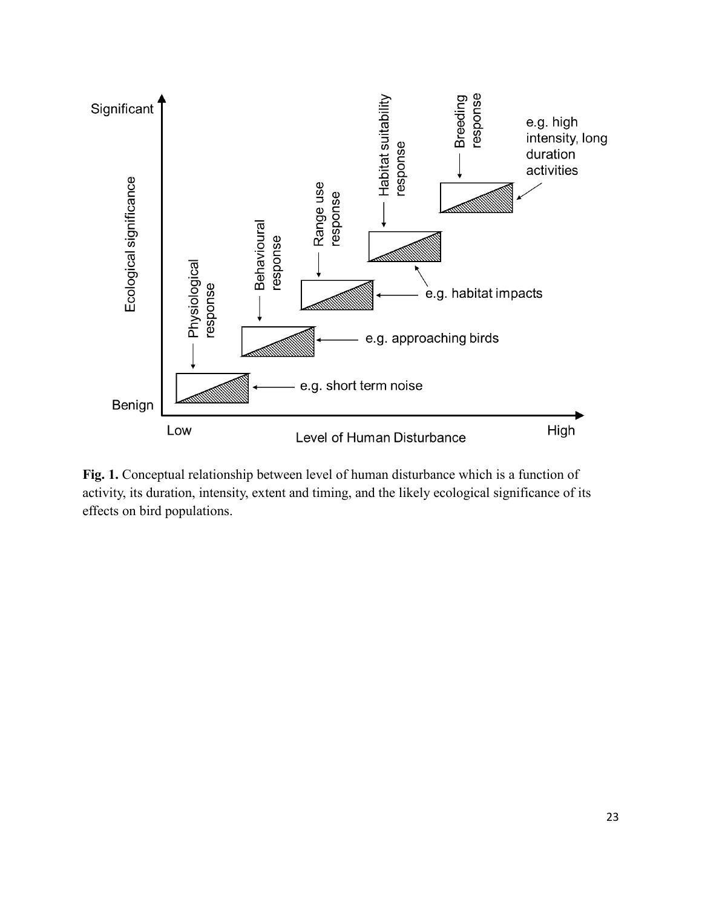

**Fig. 1.** Conceptual relationship between level of human disturbance which is a function of activity, its duration, intensity, extent and timing, and the likely ecological significance of its effects on bird populations.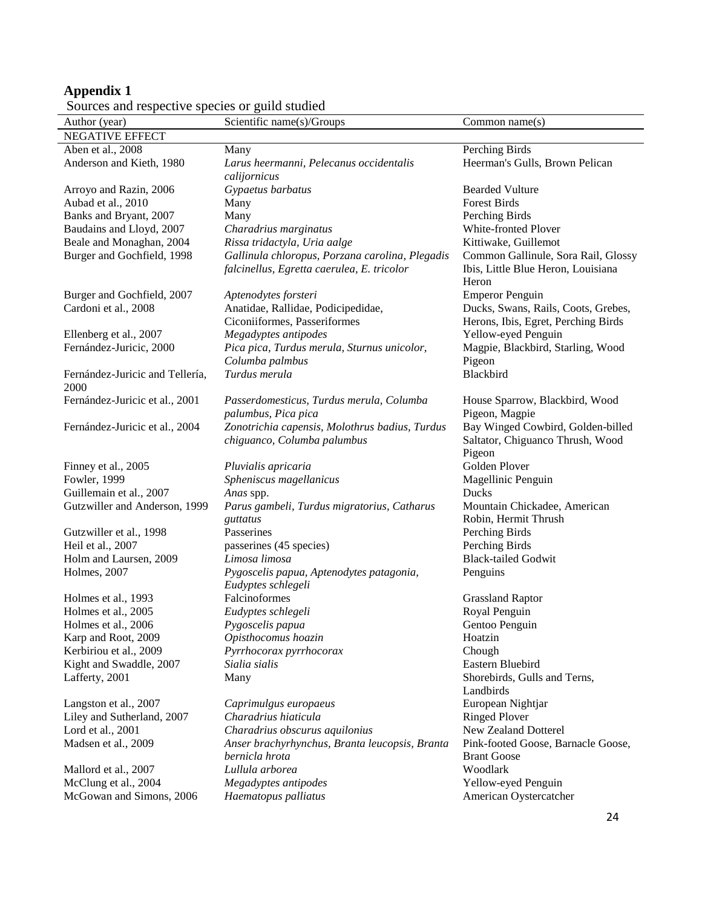#### **Appendix 1**

| Author (year)                   | Scientific name(s)/Groups                                        | Common name $(s)$                   |
|---------------------------------|------------------------------------------------------------------|-------------------------------------|
| <b>NEGATIVE EFFECT</b>          |                                                                  |                                     |
| Aben et al., 2008               | Many                                                             | Perching Birds                      |
| Anderson and Kieth, 1980        | Larus heermanni, Pelecanus occidentalis                          | Heerman's Gulls, Brown Pelican      |
|                                 | calijornicus                                                     |                                     |
| Arroyo and Razin, 2006          | Gypaetus barbatus                                                | <b>Bearded Vulture</b>              |
| Aubad et al., 2010              | Many                                                             | <b>Forest Birds</b>                 |
| Banks and Bryant, 2007          | Many                                                             | Perching Birds                      |
| Baudains and Lloyd, 2007        | Charadrius marginatus                                            | White-fronted Plover                |
| Beale and Monaghan, 2004        | Rissa tridactyla, Uria aalge                                     | Kittiwake, Guillemot                |
| Burger and Gochfield, 1998      | Gallinula chloropus, Porzana carolina, Plegadis                  | Common Gallinule, Sora Rail, Glossy |
|                                 | falcinellus, Egretta caerulea, E. tricolor                       | Ibis, Little Blue Heron, Louisiana  |
|                                 |                                                                  | Heron                               |
| Burger and Gochfield, 2007      | Aptenodytes forsteri                                             | <b>Emperor Penguin</b>              |
| Cardoni et al., 2008            | Anatidae, Rallidae, Podicipedidae,                               | Ducks, Swans, Rails, Coots, Grebes, |
|                                 | Ciconiiformes, Passeriformes                                     | Herons, Ibis, Egret, Perching Birds |
| Ellenberg et al., 2007          | Megadyptes antipodes                                             | Yellow-eyed Penguin                 |
| Fernández-Juricic, 2000         | Pica pica, Turdus merula, Sturnus unicolor,                      | Magpie, Blackbird, Starling, Wood   |
|                                 | Columba palmbus                                                  | Pigeon                              |
| Fernández-Juricic and Tellería, | Turdus merula                                                    | Blackbird                           |
| 2000                            |                                                                  |                                     |
| Fernández-Juricic et al., 2001  | Passerdomesticus, Turdus merula, Columba                         | House Sparrow, Blackbird, Wood      |
|                                 | palumbus, Pica pica                                              | Pigeon, Magpie                      |
| Fernández-Juricic et al., 2004  | Zonotrichia capensis, Molothrus badius, Turdus                   | Bay Winged Cowbird, Golden-billed   |
|                                 | chiguanco, Columba palumbus                                      | Saltator, Chiguanco Thrush, Wood    |
|                                 |                                                                  | Pigeon                              |
| Finney et al., 2005             | Pluvialis apricaria                                              | Golden Plover                       |
| Fowler, 1999                    | Spheniscus magellanicus                                          | Magellinic Penguin                  |
| Guillemain et al., 2007         | Anas spp.                                                        | Ducks                               |
| Gutzwiller and Anderson, 1999   | Parus gambeli, Turdus migratorius, Catharus                      | Mountain Chickadee, American        |
|                                 | guttatus                                                         | Robin, Hermit Thrush                |
| Gutzwiller et al., 1998         | Passerines                                                       | Perching Birds                      |
| Heil et al., 2007               | passerines (45 species)                                          | Perching Birds                      |
| Holm and Laursen, 2009          | Limosa limosa                                                    | <b>Black-tailed Godwit</b>          |
| Holmes, 2007                    | Pygoscelis papua, Aptenodytes patagonia,                         | Penguins                            |
|                                 | Eudyptes schlegeli                                               |                                     |
| Holmes et al., 1993             | Falcinoformes                                                    | <b>Grassland Raptor</b>             |
| Holmes et al., 2005             | Eudyptes schlegeli                                               | Royal Penguin                       |
| Holmes et al., 2006             | Pygoscelis papua                                                 | Gentoo Penguin                      |
| Karp and Root, 2009             | Opisthocomus hoazin                                              | Hoatzin                             |
| Kerbiriou et al., 2009          | Pyrrhocorax pyrrhocorax                                          | Chough                              |
| Kight and Swaddle, 2007         | Sialia sialis                                                    | Eastern Bluebird                    |
| Lafferty, 2001                  | Many                                                             | Shorebirds, Gulls and Terns,        |
|                                 |                                                                  | Landbirds                           |
| Langston et al., 2007           | Caprimulgus europaeus                                            | European Nightjar                   |
| Liley and Sutherland, 2007      | Charadrius hiaticula                                             | <b>Ringed Plover</b>                |
| Lord et al., 2001               | Charadrius obscurus aquilonius                                   | New Zealand Dotterel                |
| Madsen et al., 2009             |                                                                  |                                     |
|                                 | Anser brachyrhynchus, Branta leucopsis, Branta<br>bernicla hrota | Pink-footed Goose, Barnacle Goose,  |
|                                 |                                                                  | <b>Brant Goose</b><br>Woodlark      |
| Mallord et al., 2007            | Lullula arborea                                                  |                                     |
| McClung et al., 2004            | Megadyptes antipodes                                             | Yellow-eyed Penguin                 |
| McGowan and Simons, 2006        | Haematopus palliatus                                             | American Oystercatcher              |
|                                 |                                                                  | 24                                  |

Sources and respective species or guild studied